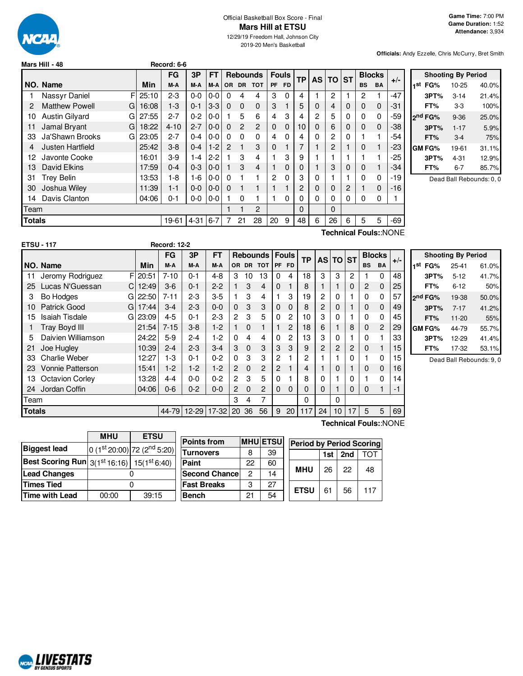

# Official Basketball Box Score - Final **Mars Hill at ETSU**

12/29/19 Freedom Hall, Johnson City 2019-20 Men's Basketball

**Officials:** Andy Ezzelle, Chris McCurry, Bret Smith

|        | Mars Hill - 48             |       | Record: 6-6 |          |         |               |                 |                |              |              |           |   |          |             |           |               |                       |                |
|--------|----------------------------|-------|-------------|----------|---------|---------------|-----------------|----------------|--------------|--------------|-----------|---|----------|-------------|-----------|---------------|-----------------------|----------------|
|        |                            |       | <b>FG</b>   | 3P       | FT      |               | <b>Rebounds</b> |                |              | <b>Fouls</b> | <b>TP</b> |   | AS TO ST |             |           | <b>Blocks</b> |                       |                |
|        | NO. Name                   | Min   | M-A         | M-A      | M-A     |               |                 | OR DR TOT      | <b>PF</b>    | <b>FD</b>    |           |   |          |             | <b>BS</b> | <b>BA</b>     | $+/-$                 |                |
|        | F<br>Nassyr Daniel         | 25:10 | $2 - 3$     | $0-0$    | 0-0     | 0             | 4               | 4              | 3            | 0            | 4         |   | 2        |             | 2         |               | $-47$                 |                |
| 2      | <b>Matthew Powell</b><br>G | 16:08 | $1 - 3$     | $0 - 1$  | $3-3$   | $\Omega$      | $\Omega$        | $\mathbf 0$    | 3            |              | 5         | 0 | 4        | 0           | 0         | $\mathbf 0$   | -31                   |                |
| 10     | <b>Austin Gilvard</b><br>G | 27:55 | $2 - 7$     | $0 - 2$  | 0-0     |               | 5               | 6              | 4            | 3            | 4         | 2 | 5        | 0           | 0         | $\Omega$      | -59                   | $\overline{2}$ |
| 11     | Jamal Bryant<br>G          | 18:22 | $4 - 10$    | $2 - 7$  | $0 - 0$ | 0             | $\overline{c}$  | $\overline{2}$ | $\Omega$     | $\mathbf 0$  | 10        | 0 | 6        | 0           | $\Omega$  | $\mathbf 0$   | -38                   |                |
| 33     | Ja'Shawn Brooks<br>G       | 23:05 | $2 - 7$     | $0 - 4$  | 0-0     | $\Omega$      | $\Omega$        | 0              | 4            | $\Omega$     | 4         | 0 | 2        | 0           |           |               | -54                   |                |
| 4      | <b>Justen Hartfield</b>    | 25:42 | $3 - 8$     | $0 - 4$  | $1-2$   | $\mathcal{P}$ |                 | 3              | $\mathbf{0}$ |              |           |   | 2        |             | $\Omega$  | 1             | -23                   |                |
| 12     | Javonte Cooke              | 16:01 | $3-9$       | $1 - 4$  | $2 - 2$ |               | 3               | 4              |              | 3            | 9         |   |          |             |           |               | -25                   |                |
| 13     | David Elkins               | 17:59 | $0 - 4$     | $0 - 3$  | $0 - 0$ |               | 3               | 4              |              | 0            | 0         |   | 3        | $\mathbf 0$ | 0         |               | -34                   |                |
| 31     | <b>Trey Belin</b>          | 13:53 | 1-8         | 1-6      | $0-0$   | 0             |                 |                | 2            | $\Omega$     | 3         | 0 |          |             | 0         | 0             | -19                   |                |
| 30     | Joshua Wiley               | 11:39 | $1 - 1$     | $0-0$    | $0 - 0$ | $\Omega$      |                 |                |              |              | 2         | 0 | 0        | 2           |           | 0             | -16                   |                |
| 14     | Davis Clanton              | 04:06 | $0 - 1$     | $0-0$    | 0-0     |               | 0               |                |              | 0            | 0         | 0 | 0        | 0           | 0         | 0             |                       |                |
| Team   |                            |       |             |          |         |               |                 | 2              |              |              | 0         |   | 0        |             |           |               |                       |                |
| Totals |                            |       | 19-61       | $4 - 31$ | $6 - 7$ |               | 21              | 28             | 20           | 9            | 48        | 6 | 26       | 6           | 5         | 5             | -69                   |                |
|        |                            |       |             |          |         |               |                 |                |              |              |           |   |          |             |           |               | Toobnical Foule: NONE |                |

**Shooting By Period 1 st FG%** 10-25 40.0% **3PT%** 3-14 21.4% **FT%** 3-3 100% **2 nd FG%** 9-36 25.0% **3PT%** 1-17 5.9% **FT%** 3-4 75% **GM FG%** 19-61 31.1% **3PT%** 4-31 12.9% **FT%** 6-7 85.7%

Dead Ball Rebounds: 0, 0

|                  |                        |             |                     |         |           |                       |              |                  |                |                |              |          |   |   |           |               | Technical FouisNONE |                     |                           |                          |
|------------------|------------------------|-------------|---------------------|---------|-----------|-----------------------|--------------|------------------|----------------|----------------|--------------|----------|---|---|-----------|---------------|---------------------|---------------------|---------------------------|--------------------------|
|                  | <b>ETSU - 117</b>      |             | <b>Record: 12-2</b> |         |           |                       |              |                  |                |                |              |          |   |   |           |               |                     |                     |                           |                          |
|                  |                        |             | <b>FG</b>           | 3P      | <b>FT</b> |                       |              | Rebounds   Fouls |                |                | <b>TP</b>    | AS TO ST |   |   |           | <b>Blocks</b> |                     |                     | <b>Shooting By Period</b> |                          |
|                  | NO. Name               | Min         | M-A                 | M-A     | M-A       |                       |              | OR DR TOT        |                | PF FD          |              |          |   |   | <b>BS</b> | BA            | $+/-$               | 1 <sup>st</sup> FG% | $25 - 41$                 | 61.0%                    |
| 11               | Jeromy Rodriguez       | $F$   20:51 | $7 - 10$            | $0 - 1$ | $4 - 8$   | 3                     | 10           | 13               | 0              | 4              | 18           | 3        | 3 | 2 |           | $\Omega$      | 48                  | 3PT%                | $5 - 12$                  | 41.7%                    |
| 25               | Lucas N'Guessan        | 12:49<br>CI | $3-6$               | $0 - 1$ | $2 - 2$   |                       | 3            | 4                | 0              |                | 8            |          |   | 0 | 2         | 0             | 25                  | FT%                 | $6 - 12$                  | 50%                      |
| 3                | <b>Bo Hodges</b>       | G 22:50     | $7 - 11$            | $2 - 3$ | $3-5$     |                       | 3            | 4                |                | 3              | 19           | 2        | 0 |   | 0         | 0             | 57                  | 2 <sup>nd</sup> FG% | 19-38                     | 50.0%                    |
| $10^{\circ}$     | <b>Patrick Good</b>    | 17:44<br>GI | $3-4$               | $2 - 3$ | $0 - 0$   | 0                     | 3            | 3                | 0              | $\Omega$       | 8            | 2        | 0 |   | 0         | $\mathbf{0}$  | 49                  | 3PT%                | $7 - 17$                  | 41.2%                    |
| 15 <sup>15</sup> | <b>Isaiah Tisdale</b>  | G 23:09     | $4 - 5$             | $0 - 1$ | $2 - 3$   | 2                     | 3            | 5                | 0              | $\overline{2}$ | 10           | 3        | 0 |   | 0         | 0             | 45                  | FT%                 | $11 - 20$                 | 55%                      |
|                  | Tray Boyd III          | 21:54       | $7 - 15$            | $3 - 8$ | $1-2$     |                       | $\Omega$     |                  |                | $\overline{c}$ | 18           | 6        |   | 8 | 0         | 2             | 29                  | IGM FG%             | 44-79                     | 55.7%                    |
| 5                | Daivien Williamson     | 24:22       | $5-9$               | $2 - 4$ | $1-2$     | 0                     | 4            | 4                | 0              | $\overline{2}$ | 13           | 3        | 0 |   | 0         |               | 33                  | 3PT%                | $12 - 29$                 | 41.4%                    |
| -21              | Joe Hugley             | 10:39       | $2 - 4$             | $2 - 3$ | $3-4$     | 3                     | $\mathbf{0}$ | 3                | 3              | 3              | 9            | 2        | 2 | 2 | 0         |               | 15                  | FT%                 | 17-32                     | 53.1%                    |
| 33               | <b>Charlie Weber</b>   | 12:27       | $1-3$               | 0-1     | $0 - 2$   | 0                     | 3            | 3                | $\overline{2}$ |                | $\mathbf{2}$ |          |   | 0 |           | 0             | 15                  |                     |                           | Dead Ball Rebounds: 9, 0 |
| 23               | Vonnie Patterson       | 15:41       | $1-2$               | $1-2$   | $1-2$     | $\mathbf{2}^{\prime}$ | $\mathbf{0}$ | 2                | $\overline{2}$ |                | 4            |          | 0 |   | $\Omega$  | $\mathbf{0}$  | 16                  |                     |                           |                          |
| 13               | <b>Octavion Corley</b> | 13:28       | $4 - 4$             | $0 - 0$ | $0 - 2$   | 2                     | 3            | 5                | 0              |                | 8            | 0        |   | 0 |           | $\Omega$      | 14                  |                     |                           |                          |
| 24               | Jordan Coffin          | 04:06       | $0 - 6$             | $0 - 2$ | $0 - 0$   | 2                     | $\Omega$     | 2                | 0              | $\Omega$       | $\Omega$     | $\Omega$ |   | 0 | $\Omega$  |               | -1                  |                     |                           |                          |
| Team             |                        |             |                     |         |           | 3                     | 4            |                  |                |                | 0            |          |   |   |           |               |                     |                     |                           |                          |

**Totals 144-79 12-29 17-32 20 36 56 9 20 117 24 10 17 5 5 69** 

**Technical Fouls:**:NONE

|                                                      | <b>MHU</b> | <b>ETSU</b>                             |  |  |
|------------------------------------------------------|------------|-----------------------------------------|--|--|
| <b>Biggest lead</b>                                  |            | 0 (1st 20:00) 72 (2 <sup>nd</sup> 5:20) |  |  |
| Best Scoring Run $3(1^{st}16.16)$ 15( $1^{st}6.40$ ) |            |                                         |  |  |
| <b>Lead Changes</b>                                  |            |                                         |  |  |
| <b>Times Tied</b>                                    |            |                                         |  |  |
| <b>Time with Lead</b>                                | 00:00      | 39:15                                   |  |  |

| <b>Points from</b>    |    | <b>MHU ETSU</b> | <b>Period by Period Scoring</b> |             |     |     |     |  |
|-----------------------|----|-----------------|---------------------------------|-------------|-----|-----|-----|--|
| Turnovers             | 8  | 39              |                                 |             | 1st | 2nd | ΤΩΤ |  |
| Paint                 | 22 | 60              |                                 |             |     |     |     |  |
| <b>Second Chancel</b> | 2  | 14              |                                 | <b>MHU</b>  | 26  | 22  | 48  |  |
| <b>Fast Breaks</b>    | 3  | 27              |                                 |             |     |     |     |  |
| Bench                 | 21 | 54              |                                 | <b>ETSU</b> | 61  | 56  | 117 |  |



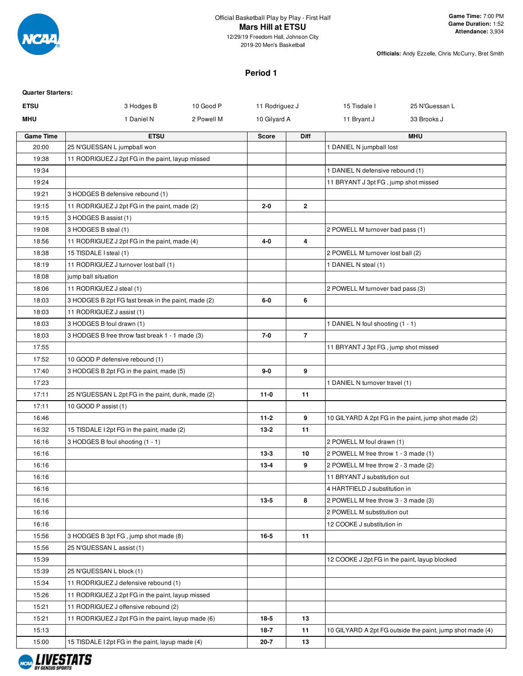

**Officials:** Andy Ezzelle, Chris McCurry, Bret Smith

### **Period 1**

| <b>Quarter Starters:</b> |                                                     |            |                |                |                                               |                                                           |
|--------------------------|-----------------------------------------------------|------------|----------------|----------------|-----------------------------------------------|-----------------------------------------------------------|
| <b>ETSU</b>              | 3 Hodges B                                          | 10 Good P  | 11 Rodriguez J |                | 15 Tisdale I                                  | 25 N'Guessan L                                            |
| MHU                      | 1 Daniel N                                          | 2 Powell M | 10 Gilyard A   |                | 11 Bryant J                                   | 33 Brooks J                                               |
| <b>Game Time</b>         | <b>ETSU</b>                                         |            | <b>Score</b>   | <b>Diff</b>    |                                               | <b>MHU</b>                                                |
| 20:00                    | 25 N'GUESSAN L jumpball won                         |            |                |                | 1 DANIEL N jumpball lost                      |                                                           |
| 19:38                    | 11 RODRIGUEZ J 2pt FG in the paint, layup missed    |            |                |                |                                               |                                                           |
| 19:34                    |                                                     |            |                |                | 1 DANIEL N defensive rebound (1)              |                                                           |
| 19:24                    |                                                     |            |                |                | 11 BRYANT J 3pt FG, jump shot missed          |                                                           |
| 19:21                    | 3 HODGES B defensive rebound (1)                    |            |                |                |                                               |                                                           |
| 19:15                    | 11 RODRIGUEZ J 2pt FG in the paint, made (2)        |            | $2 - 0$        | $\overline{2}$ |                                               |                                                           |
| 19:15                    | 3 HODGES B assist (1)                               |            |                |                |                                               |                                                           |
| 19:08                    | 3 HODGES B steal (1)                                |            |                |                | 2 POWELL M turnover bad pass (1)              |                                                           |
| 18:56                    | 11 RODRIGUEZ J 2pt FG in the paint, made (4)        |            | $4 - 0$        | 4              |                                               |                                                           |
| 18:38                    | 15 TISDALE I steal (1)                              |            |                |                | 2 POWELL M turnover lost ball (2)             |                                                           |
| 18:19                    | 11 RODRIGUEZ J turnover lost ball (1)               |            |                |                | 1 DANIEL N steal (1)                          |                                                           |
| 18:08                    | jump ball situation                                 |            |                |                |                                               |                                                           |
| 18:06                    | 11 RODRIGUEZ J steal (1)                            |            |                |                | 2 POWELL M turnover bad pass (3)              |                                                           |
| 18:03                    | 3 HODGES B 2pt FG fast break in the paint, made (2) |            | $6-0$          | 6              |                                               |                                                           |
| 18:03                    | 11 RODRIGUEZ J assist (1)                           |            |                |                |                                               |                                                           |
| 18:03                    | 3 HODGES B foul drawn (1)                           |            |                |                | 1 DANIEL N foul shooting (1 - 1)              |                                                           |
| 18:03                    | 3 HODGES B free throw fast break 1 - 1 made (3)     |            | $7 - 0$        | $\overline{7}$ |                                               |                                                           |
| 17:55                    |                                                     |            |                |                | 11 BRYANT J 3pt FG, jump shot missed          |                                                           |
| 17:52                    | 10 GOOD P defensive rebound (1)                     |            |                |                |                                               |                                                           |
| 17:40                    | 3 HODGES B 2pt FG in the paint, made (5)            |            | $9-0$          | 9              |                                               |                                                           |
| 17:23                    |                                                     |            |                |                | 1 DANIEL N turnover travel (1)                |                                                           |
| 17:11                    | 25 N'GUESSAN L 2pt FG in the paint, dunk, made (2)  |            | $11-0$         | 11             |                                               |                                                           |
| 17:11                    | 10 GOOD P assist (1)                                |            |                |                |                                               |                                                           |
| 16:46                    |                                                     |            | $11 - 2$       | 9              |                                               | 10 GILYARD A 2pt FG in the paint, jump shot made (2)      |
| 16:32                    | 15 TISDALE I 2pt FG in the paint, made (2)          |            | $13 - 2$       | 11             |                                               |                                                           |
| 16:16                    | 3 HODGES B foul shooting (1 - 1)                    |            |                |                | 2 POWELL M foul drawn (1)                     |                                                           |
| 16:16                    |                                                     |            | $13-3$         | 10             | 2 POWELL M free throw 1 - 3 made (1)          |                                                           |
| 16:16                    |                                                     |            | $13 - 4$       | 9              | 2 POWELL M free throw 2 - 3 made (2)          |                                                           |
| 16:16                    |                                                     |            |                |                | 11 BRYANT J substitution out                  |                                                           |
| 16:16                    |                                                     |            |                |                | 4 HARTFIELD J substitution in                 |                                                           |
| 16:16                    |                                                     |            | $13 - 5$       | 8              | 2 POWELL M free throw 3 - 3 made (3)          |                                                           |
| 16:16                    |                                                     |            |                |                | 2 POWELL M substitution out                   |                                                           |
| 16:16                    |                                                     |            |                |                | 12 COOKE J substitution in                    |                                                           |
| 15:56                    | 3 HODGES B 3pt FG, jump shot made (8)               |            | $16 - 5$       | 11             |                                               |                                                           |
| 15:56                    | 25 N'GUESSAN L assist (1)                           |            |                |                |                                               |                                                           |
| 15:39                    |                                                     |            |                |                | 12 COOKE J 2pt FG in the paint, layup blocked |                                                           |
| 15:39                    | 25 N'GUESSAN L block (1)                            |            |                |                |                                               |                                                           |
| 15:34                    | 11 RODRIGUEZ J defensive rebound (1)                |            |                |                |                                               |                                                           |
| 15:26                    | 11 RODRIGUEZ J 2pt FG in the paint, layup missed    |            |                |                |                                               |                                                           |
| 15:21                    | 11 RODRIGUEZ J offensive rebound (2)                |            |                |                |                                               |                                                           |
| 15:21                    | 11 RODRIGUEZ J 2pt FG in the paint, layup made (6)  |            | $18-5$         | 13             |                                               |                                                           |
| 15:13                    |                                                     |            | $18-7$         | 11             |                                               | 10 GILYARD A 2pt FG outside the paint, jump shot made (4) |
| 15:00                    | 15 TISDALE I 2pt FG in the paint, layup made (4)    |            | $20 - 7$       | 13             |                                               |                                                           |

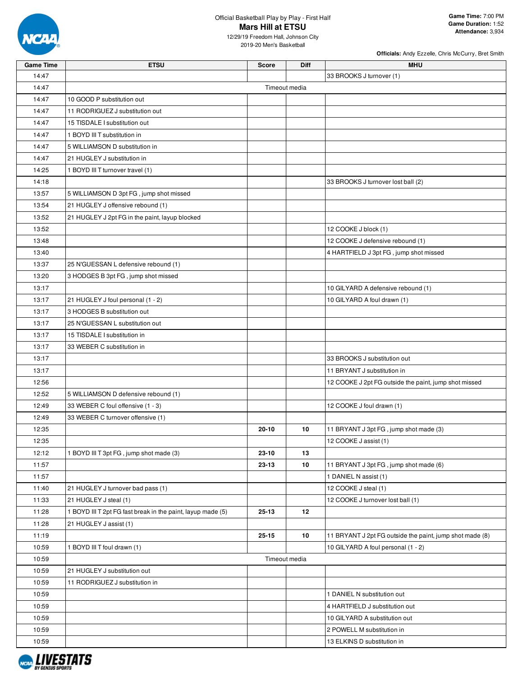

12/29/19 Freedom Hall, Johnson City 2019-20 Men's Basketball

| <b>Game Time</b> | <b>ETSU</b>                                                 | <b>Score</b>  | Diff | <b>MHU</b>                                               |
|------------------|-------------------------------------------------------------|---------------|------|----------------------------------------------------------|
| 14:47            |                                                             |               |      | 33 BROOKS J turnover (1)                                 |
| 14:47            |                                                             | Timeout media |      |                                                          |
| 14:47            | 10 GOOD P substitution out                                  |               |      |                                                          |
| 14:47            | 11 RODRIGUEZ J substitution out                             |               |      |                                                          |
| 14:47            | 15 TISDALE I substitution out                               |               |      |                                                          |
| 14:47            | 1 BOYD III T substitution in                                |               |      |                                                          |
| 14:47            | 5 WILLIAMSON D substitution in                              |               |      |                                                          |
| 14:47            | 21 HUGLEY J substitution in                                 |               |      |                                                          |
| 14:25            | 1 BOYD III T turnover travel (1)                            |               |      |                                                          |
| 14:18            |                                                             |               |      | 33 BROOKS J turnover lost ball (2)                       |
| 13:57            | 5 WILLIAMSON D 3pt FG, jump shot missed                     |               |      |                                                          |
| 13:54            | 21 HUGLEY J offensive rebound (1)                           |               |      |                                                          |
| 13:52            | 21 HUGLEY J 2pt FG in the paint, layup blocked              |               |      |                                                          |
| 13:52            |                                                             |               |      | 12 COOKE J block (1)                                     |
| 13:48            |                                                             |               |      | 12 COOKE J defensive rebound (1)                         |
| 13:40            |                                                             |               |      | 4 HARTFIELD J 3pt FG, jump shot missed                   |
| 13:37            | 25 N'GUESSAN L defensive rebound (1)                        |               |      |                                                          |
| 13:20            | 3 HODGES B 3pt FG, jump shot missed                         |               |      |                                                          |
| 13:17            |                                                             |               |      | 10 GILYARD A defensive rebound (1)                       |
| 13:17            | 21 HUGLEY J foul personal (1 - 2)                           |               |      | 10 GILYARD A foul drawn (1)                              |
| 13:17            | 3 HODGES B substitution out                                 |               |      |                                                          |
| 13:17            | 25 N'GUESSAN L substitution out                             |               |      |                                                          |
| 13:17            | 15 TISDALE I substitution in                                |               |      |                                                          |
| 13:17            | 33 WEBER C substitution in                                  |               |      |                                                          |
| 13:17            |                                                             |               |      | 33 BROOKS J substitution out                             |
| 13:17            |                                                             |               |      | 11 BRYANT J substitution in                              |
| 12:56            |                                                             |               |      | 12 COOKE J 2pt FG outside the paint, jump shot missed    |
| 12:52            | 5 WILLIAMSON D defensive rebound (1)                        |               |      |                                                          |
| 12:49            | 33 WEBER C foul offensive (1 - 3)                           |               |      | 12 COOKE J foul drawn (1)                                |
| 12:49            | 33 WEBER C turnover offensive (1)                           |               |      |                                                          |
| 12:35            |                                                             | $20 - 10$     | 10   | 11 BRYANT J 3pt FG, jump shot made (3)                   |
| 12:35            |                                                             |               |      | 12 COOKE J assist (1)                                    |
| 12:12            | 1 BOYD III T 3pt FG, jump shot made (3)                     | 23-10         | 13   |                                                          |
| 11:57            |                                                             | 23-13         | 10   | 11 BRYANT J 3pt FG, jump shot made (6)                   |
| 11:57            |                                                             |               |      | 1 DANIEL N assist (1)                                    |
| 11:40            | 21 HUGLEY J turnover bad pass (1)                           |               |      | 12 COOKE J steal (1)                                     |
| 11:33            | 21 HUGLEY J steal (1)                                       |               |      | 12 COOKE J turnover lost ball (1)                        |
| 11:28            | 1 BOYD III T 2pt FG fast break in the paint, layup made (5) | 25-13         | 12   |                                                          |
| 11:28            | 21 HUGLEY J assist (1)                                      |               |      |                                                          |
|                  |                                                             |               |      |                                                          |
| 11:19            |                                                             | $25 - 15$     | 10   | 11 BRYANT J 2pt FG outside the paint, jump shot made (8) |
| 10:59            | 1 BOYD III T foul drawn (1)                                 |               |      | 10 GILYARD A foul personal (1 - 2)                       |
| 10:59            |                                                             | Timeout media |      |                                                          |
| 10:59            | 21 HUGLEY J substitution out                                |               |      |                                                          |
| 10:59            | 11 RODRIGUEZ J substitution in                              |               |      |                                                          |
| 10:59            |                                                             |               |      | 1 DANIEL N substitution out                              |
| 10:59            |                                                             |               |      | 4 HARTFIELD J substitution out                           |
| 10:59            |                                                             |               |      | 10 GILYARD A substitution out                            |
| 10:59            |                                                             |               |      | 2 POWELL M substitution in                               |
| 10:59            |                                                             |               |      | 13 ELKINS D substitution in                              |

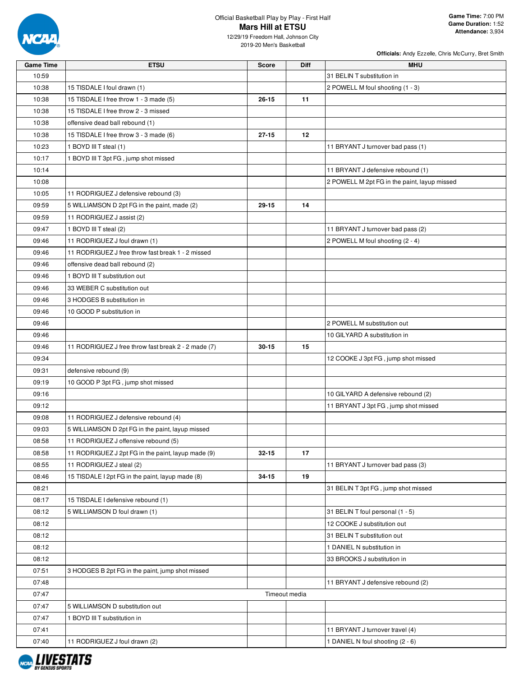

12/29/19 Freedom Hall, Johnson City 2019-20 Men's Basketball

| <b>Game Time</b> | <b>ETSU</b>                                         | <b>Score</b>  | Diff | MHU                                          |
|------------------|-----------------------------------------------------|---------------|------|----------------------------------------------|
| 10:59            |                                                     |               |      | 31 BELIN T substitution in                   |
| 10:38            | 15 TISDALE I foul drawn (1)                         |               |      | 2 POWELL M foul shooting (1 - 3)             |
| 10:38            | 15 TISDALE I free throw 1 - 3 made (5)              | $26 - 15$     | 11   |                                              |
| 10:38            | 15 TISDALE I free throw 2 - 3 missed                |               |      |                                              |
| 10:38            | offensive dead ball rebound (1)                     |               |      |                                              |
| 10:38            | 15 TISDALE I free throw 3 - 3 made (6)              | $27 - 15$     | 12   |                                              |
| 10:23            | 1 BOYD III T steal (1)                              |               |      | 11 BRYANT J turnover bad pass (1)            |
| 10:17            | 1 BOYD III T 3pt FG, jump shot missed               |               |      |                                              |
| 10:14            |                                                     |               |      | 11 BRYANT J defensive rebound (1)            |
| 10:08            |                                                     |               |      | 2 POWELL M 2pt FG in the paint, layup missed |
| 10:05            | 11 RODRIGUEZ J defensive rebound (3)                |               |      |                                              |
| 09:59            | 5 WILLIAMSON D 2pt FG in the paint, made (2)        | $29 - 15$     | 14   |                                              |
| 09:59            | 11 RODRIGUEZ J assist (2)                           |               |      |                                              |
| 09:47            | 1 BOYD III T steal (2)                              |               |      | 11 BRYANT J turnover bad pass (2)            |
| 09:46            | 11 RODRIGUEZ J foul drawn (1)                       |               |      | 2 POWELL M foul shooting (2 - 4)             |
| 09:46            | 11 RODRIGUEZ J free throw fast break 1 - 2 missed   |               |      |                                              |
| 09:46            | offensive dead ball rebound (2)                     |               |      |                                              |
| 09:46            | 1 BOYD III T substitution out                       |               |      |                                              |
| 09:46            | 33 WEBER C substitution out                         |               |      |                                              |
| 09:46            | 3 HODGES B substitution in                          |               |      |                                              |
| 09:46            | 10 GOOD P substitution in                           |               |      |                                              |
| 09:46            |                                                     |               |      | 2 POWELL M substitution out                  |
| 09:46            |                                                     |               |      | 10 GILYARD A substitution in                 |
| 09:46            | 11 RODRIGUEZ J free throw fast break 2 - 2 made (7) | $30 - 15$     | 15   |                                              |
| 09:34            |                                                     |               |      | 12 COOKE J 3pt FG, jump shot missed          |
| 09:31            | defensive rebound (9)                               |               |      |                                              |
| 09:19            | 10 GOOD P 3pt FG, jump shot missed                  |               |      |                                              |
| 09:16            |                                                     |               |      | 10 GILYARD A defensive rebound (2)           |
| 09:12            |                                                     |               |      | 11 BRYANT J 3pt FG, jump shot missed         |
| 09:08            | 11 RODRIGUEZ J defensive rebound (4)                |               |      |                                              |
| 09:03            | 5 WILLIAMSON D 2pt FG in the paint, layup missed    |               |      |                                              |
| 08:58            | 11 RODRIGUEZ J offensive rebound (5)                |               |      |                                              |
| 08:58            | 11 RODRIGUEZ J 2pt FG in the paint, layup made (9)  | $32 - 15$     | 17   |                                              |
| 08:55            | 11 RODRIGUEZ J steal (2)                            |               |      | 11 BRYANT J turnover bad pass (3)            |
| 08:46            | 15 TISDALE I 2pt FG in the paint, layup made (8)    | 34-15         | 19   |                                              |
| 08:21            |                                                     |               |      | 31 BELIN T 3pt FG, jump shot missed          |
| 08:17            | 15 TISDALE I defensive rebound (1)                  |               |      |                                              |
| 08:12            | 5 WILLIAMSON D foul drawn (1)                       |               |      | 31 BELIN T foul personal (1 - 5)             |
| 08:12            |                                                     |               |      | 12 COOKE J substitution out                  |
| 08:12            |                                                     |               |      | 31 BELIN T substitution out                  |
| 08:12            |                                                     |               |      | 1 DANIEL N substitution in                   |
| 08:12            |                                                     |               |      | 33 BROOKS J substitution in                  |
| 07:51            | 3 HODGES B 2pt FG in the paint, jump shot missed    |               |      |                                              |
| 07:48            |                                                     |               |      | 11 BRYANT J defensive rebound (2)            |
| 07:47            |                                                     | Timeout media |      |                                              |
| 07:47            | 5 WILLIAMSON D substitution out                     |               |      |                                              |
| 07:47            | 1 BOYD III T substitution in                        |               |      |                                              |
| 07:41            |                                                     |               |      | 11 BRYANT J turnover travel (4)              |
| 07:40            | 11 RODRIGUEZ J foul drawn (2)                       |               |      | 1 DANIEL N foul shooting (2 - 6)             |

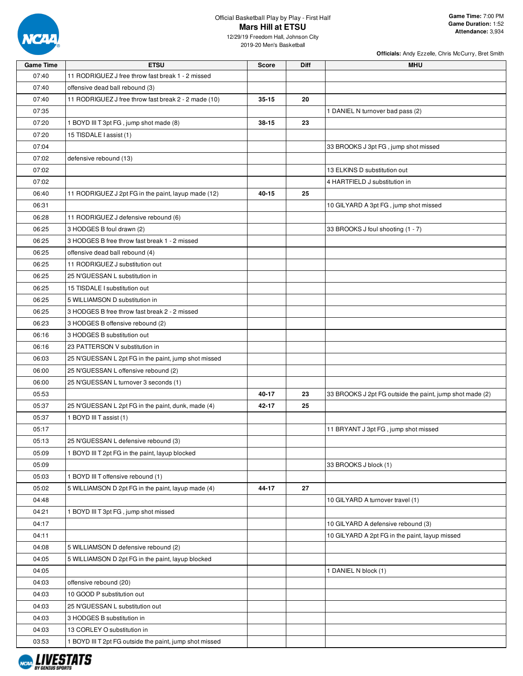

**Officials:** Andy Ezzelle, Chris McCurry, Bret Smith

12/29/19 Freedom Hall, Johnson City 2019-20 Men's Basketball

| <b>Game Time</b> | <b>ETSU</b>                                             | <b>Score</b> | Diff | <b>MHU</b>                                               |
|------------------|---------------------------------------------------------|--------------|------|----------------------------------------------------------|
| 07:40            | 11 RODRIGUEZ J free throw fast break 1 - 2 missed       |              |      |                                                          |
| 07:40            | offensive dead ball rebound (3)                         |              |      |                                                          |
| 07:40            | 11 RODRIGUEZ J free throw fast break 2 - 2 made (10)    | $35 - 15$    | 20   |                                                          |
| 07:35            |                                                         |              |      | 1 DANIEL N turnover bad pass (2)                         |
| 07:20            | 1 BOYD III T 3pt FG, jump shot made (8)                 | 38-15        | 23   |                                                          |
| 07:20            | 15 TISDALE I assist (1)                                 |              |      |                                                          |
| 07:04            |                                                         |              |      | 33 BROOKS J 3pt FG, jump shot missed                     |
| 07:02            | defensive rebound (13)                                  |              |      |                                                          |
| 07:02            |                                                         |              |      | 13 ELKINS D substitution out                             |
| 07:02            |                                                         |              |      | 4 HARTFIELD J substitution in                            |
| 06:40            | 11 RODRIGUEZ J 2pt FG in the paint, layup made (12)     | 40-15        | 25   |                                                          |
| 06:31            |                                                         |              |      | 10 GILYARD A 3pt FG, jump shot missed                    |
| 06:28            | 11 RODRIGUEZ J defensive rebound (6)                    |              |      |                                                          |
| 06:25            | 3 HODGES B foul drawn (2)                               |              |      | 33 BROOKS J foul shooting (1 - 7)                        |
| 06:25            | 3 HODGES B free throw fast break 1 - 2 missed           |              |      |                                                          |
| 06:25            | offensive dead ball rebound (4)                         |              |      |                                                          |
| 06:25            | 11 RODRIGUEZ J substitution out                         |              |      |                                                          |
| 06:25            | 25 N'GUESSAN L substitution in                          |              |      |                                                          |
| 06:25            | 15 TISDALE I substitution out                           |              |      |                                                          |
| 06:25            | 5 WILLIAMSON D substitution in                          |              |      |                                                          |
| 06:25            | 3 HODGES B free throw fast break 2 - 2 missed           |              |      |                                                          |
| 06:23            | 3 HODGES B offensive rebound (2)                        |              |      |                                                          |
| 06:16            | 3 HODGES B substitution out                             |              |      |                                                          |
| 06:16            | 23 PATTERSON V substitution in                          |              |      |                                                          |
| 06:03            | 25 N'GUESSAN L 2pt FG in the paint, jump shot missed    |              |      |                                                          |
| 06:00            | 25 N'GUESSAN L offensive rebound (2)                    |              |      |                                                          |
| 06:00            | 25 N'GUESSAN L turnover 3 seconds (1)                   |              |      |                                                          |
| 05:53            |                                                         | 40-17        | 23   | 33 BROOKS J 2pt FG outside the paint, jump shot made (2) |
| 05:37            | 25 N'GUESSAN L 2pt FG in the paint, dunk, made (4)      | 42-17        | 25   |                                                          |
| 05:37            | 1 BOYD III T assist (1)                                 |              |      |                                                          |
| 05:17            |                                                         |              |      | 11 BRYANT J 3pt FG, jump shot missed                     |
| 05:13            | 25 N'GUESSAN L defensive rebound (3)                    |              |      |                                                          |
| 05:09            | 1 BOYD III T 2pt FG in the paint, layup blocked         |              |      |                                                          |
| 05:09            |                                                         |              |      | 33 BROOKS J block (1)                                    |
| 05:03            | 1 BOYD III T offensive rebound (1)                      |              |      |                                                          |
| 05:02            | 5 WILLIAMSON D 2pt FG in the paint, layup made (4)      | 44-17        | 27   |                                                          |
| 04:48            |                                                         |              |      | 10 GILYARD A turnover travel (1)                         |
| 04:21            | 1 BOYD III T 3pt FG, jump shot missed                   |              |      |                                                          |
| 04:17            |                                                         |              |      | 10 GILYARD A defensive rebound (3)                       |
| 04:11            |                                                         |              |      | 10 GILYARD A 2pt FG in the paint, layup missed           |
| 04:08            | 5 WILLIAMSON D defensive rebound (2)                    |              |      |                                                          |
| 04:05            | 5 WILLIAMSON D 2pt FG in the paint, layup blocked       |              |      |                                                          |
| 04:05            |                                                         |              |      | 1 DANIEL N block (1)                                     |
| 04:03            | offensive rebound (20)                                  |              |      |                                                          |
| 04:03            | 10 GOOD P substitution out                              |              |      |                                                          |
| 04:03            | 25 N'GUESSAN L substitution out                         |              |      |                                                          |
| 04:03            | 3 HODGES B substitution in                              |              |      |                                                          |
| 04:03            | 13 CORLEY O substitution in                             |              |      |                                                          |
| 03:53            | 1 BOYD III T 2pt FG outside the paint, jump shot missed |              |      |                                                          |
|                  |                                                         |              |      |                                                          |

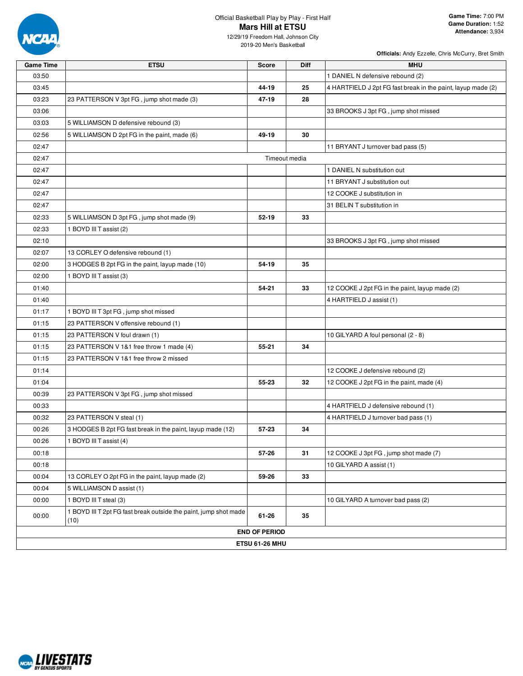

| <b>Game Time</b> | <b>ETSU</b>                                                              | <b>Score</b>          | Diff | <b>MHU</b>                                                   |
|------------------|--------------------------------------------------------------------------|-----------------------|------|--------------------------------------------------------------|
| 03:50            |                                                                          |                       |      | 1 DANIEL N defensive rebound (2)                             |
| 03:45            |                                                                          | 44-19                 | 25   | 4 HARTFIELD J 2pt FG fast break in the paint, layup made (2) |
| 03:23            | 23 PATTERSON V 3pt FG, jump shot made (3)                                | 47-19                 | 28   |                                                              |
| 03:06            |                                                                          |                       |      | 33 BROOKS J 3pt FG, jump shot missed                         |
| 03:03            | 5 WILLIAMSON D defensive rebound (3)                                     |                       |      |                                                              |
| 02:56            | 5 WILLIAMSON D 2pt FG in the paint, made (6)                             | 49-19                 | 30   |                                                              |
| 02:47            |                                                                          |                       |      | 11 BRYANT J turnover bad pass (5)                            |
| 02:47            |                                                                          | Timeout media         |      |                                                              |
| 02:47            |                                                                          |                       |      | 1 DANIEL N substitution out                                  |
| 02:47            |                                                                          |                       |      | 11 BRYANT J substitution out                                 |
| 02:47            |                                                                          |                       |      | 12 COOKE J substitution in                                   |
| 02:47            |                                                                          |                       |      | 31 BELIN T substitution in                                   |
| 02:33            | 5 WILLIAMSON D 3pt FG, jump shot made (9)                                | $52 - 19$             | 33   |                                                              |
| 02:33            | 1 BOYD III T assist (2)                                                  |                       |      |                                                              |
| 02:10            |                                                                          |                       |      | 33 BROOKS J 3pt FG, jump shot missed                         |
| 02:07            | 13 CORLEY O defensive rebound (1)                                        |                       |      |                                                              |
| 02:00            | 3 HODGES B 2pt FG in the paint, layup made (10)                          | 54-19                 | 35   |                                                              |
| 02:00            | 1 BOYD III T assist (3)                                                  |                       |      |                                                              |
| 01:40            |                                                                          | 54-21                 | 33   | 12 COOKE J 2pt FG in the paint, layup made (2)               |
| 01:40            |                                                                          |                       |      | 4 HARTFIELD J assist (1)                                     |
| 01:17            | 1 BOYD III T 3pt FG, jump shot missed                                    |                       |      |                                                              |
| 01:15            | 23 PATTERSON V offensive rebound (1)                                     |                       |      |                                                              |
| 01:15            | 23 PATTERSON V foul drawn (1)                                            |                       |      | 10 GILYARD A foul personal (2 - 8)                           |
| 01:15            | 23 PATTERSON V 1&1 free throw 1 made (4)                                 | 55-21                 | 34   |                                                              |
| 01:15            | 23 PATTERSON V 1&1 free throw 2 missed                                   |                       |      |                                                              |
| 01:14            |                                                                          |                       |      | 12 COOKE J defensive rebound (2)                             |
| 01:04            |                                                                          | 55-23                 | 32   | 12 COOKE J 2pt FG in the paint, made (4)                     |
| 00:39            | 23 PATTERSON V 3pt FG, jump shot missed                                  |                       |      |                                                              |
| 00:33            |                                                                          |                       |      | 4 HARTFIELD J defensive rebound (1)                          |
| 00:32            | 23 PATTERSON V steal (1)                                                 |                       |      | 4 HARTFIELD J turnover bad pass (1)                          |
| 00:26            | 3 HODGES B 2pt FG fast break in the paint, layup made (12)               | $57 - 23$             | 34   |                                                              |
| 00:26            | 1 BOYD III T assist (4)                                                  |                       |      |                                                              |
| 00:18            |                                                                          | 57-26                 | 31   | 12 COOKE J 3pt FG, jump shot made (7)                        |
| 00:18            |                                                                          |                       |      | 10 GILYARD A assist (1)                                      |
| 00:04            | 13 CORLEY O 2pt FG in the paint, layup made (2)                          | 59-26                 | 33   |                                                              |
| 00:04            | 5 WILLIAMSON D assist (1)                                                |                       |      |                                                              |
| 00:00            | 1 BOYD III T steal (3)                                                   |                       |      | 10 GILYARD A turnover bad pass (2)                           |
| 00:00            | 1 BOYD III T 2pt FG fast break outside the paint, jump shot made<br>(10) | 61-26                 | 35   |                                                              |
|                  |                                                                          | <b>END OF PERIOD</b>  |      |                                                              |
|                  |                                                                          | <b>ETSU 61-26 MHU</b> |      |                                                              |

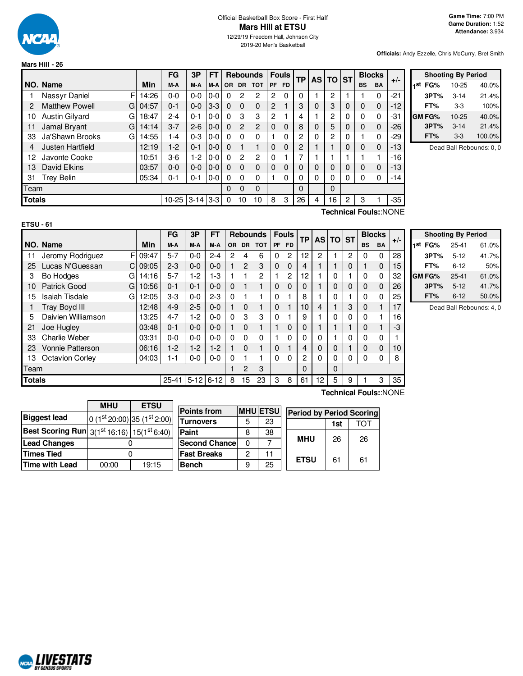

#### Official Basketball Box Score - First Half **Mars Hill at ETSU** 12/29/19 Freedom Hall, Johnson City

2019-20 Men's Basketball

**Officials:** Andy Ezzelle, Chris McCurry, Bret Smith

|               |                             |       | FG        | 3P       | FT      |           |                | <b>Rebounds</b> |                | <b>Fouls</b> | <b>TP</b> | <b>AS</b> | <b>TO</b> | <b>ST</b> |           | <b>Blocks</b> | $+/-$ |
|---------------|-----------------------------|-------|-----------|----------|---------|-----------|----------------|-----------------|----------------|--------------|-----------|-----------|-----------|-----------|-----------|---------------|-------|
|               | NO. Name                    | Min   | M-A       | M-A      | M-A     | <b>OR</b> | <b>DR</b>      | <b>TOT</b>      | <b>PF</b>      | <b>FD</b>    |           |           |           |           | <b>BS</b> | <b>BA</b>     |       |
|               | F<br>Nassyr Daniel          | 14:26 | $0-0$     | $0 - 0$  | $0-0$   | 0         | 2              | 2               | $\overline{c}$ | 0            | 0         |           | 2         |           |           | 0             | $-21$ |
| 2             | <b>Matthew Powell</b><br>GI | 04:57 | $0 - 1$   | $0 - 0$  | $3-3$   | $\Omega$  | $\Omega$       | $\Omega$        | 2              |              | 3         | 0         | 3         | 0         | 0         | $\Omega$      | -12   |
| 10            | Austin Gilyard<br>GI        | 18:47 | $2 - 4$   | $0 - 1$  | $0-0$   | 0         | 3              | 3               | 2              |              | 4         |           | 2         | 0         | $\Omega$  | 0             | -31   |
| 11            | Jamal Bryant<br>G           | 14:14 | $3 - 7$   | $2 - 6$  | $0 - 0$ | $\Omega$  | $\overline{2}$ | $\overline{2}$  | $\Omega$       | $\Omega$     | 8         | 0         | 5         | 0         | 0         | $\Omega$      | $-26$ |
| 33            | Ja'Shawn Brooks<br>G        | 14:55 | 1-4       | $0 - 3$  | $0 - 0$ | $\Omega$  | $\Omega$       | 0               |                | 0            | 2         | 0         | 2         | 0         |           | 0             | $-29$ |
| 4             | Justen Hartfield            | 12:19 | $1-2$     | $0 - 1$  | $0 - 0$ | $\Omega$  | 1              | 1               | $\Omega$       | $\Omega$     | 2         |           |           | 0         | 0         | $\Omega$      | $-13$ |
| 12            | Javonte Cooke               | 10:51 | $3-6$     | 1-2      | $0 - 0$ | 0         | $\overline{c}$ | $\overline{c}$  | $\Omega$       |              | 7         |           |           |           |           |               | -16   |
| 13            | David Elkins                | 03:57 | $0 - 0$   | $0 - 0$  | $0-0$   | 0         | $\Omega$       | 0               | $\Omega$       | 0            | 0         | 0         | 0         | 0         | 0         | $\Omega$      | -13   |
| 31            | <b>Trey Belin</b>           | 05:34 | $0 - 1$   | $0 - 1$  | $0 - 0$ | 0         | $\Omega$       | 0               |                | 0            | 0         | 0         | 0         | 0         | $\Omega$  | 0             | -14   |
| Team          |                             |       |           |          |         | 0         | $\Omega$       | $\Omega$        |                |              | 0         |           | 0         |           |           |               |       |
| <b>Totals</b> |                             |       | $10 - 25$ | $3 - 14$ | $3 - 3$ | 0         | 10             | 10              | 8              | 3            | 26        | 4         | 16        | 2         | 3         |               | -35   |

| <b>Shooting By Period</b> |              |           |        |  |  |  |  |  |  |
|---------------------------|--------------|-----------|--------|--|--|--|--|--|--|
| 1st                       | FG%          | 10-25     | 40.0%  |  |  |  |  |  |  |
|                           | 3PT%         | $3 - 14$  | 21.4%  |  |  |  |  |  |  |
|                           | FT%          | $3-3$     | 100%   |  |  |  |  |  |  |
|                           | <b>GMFG%</b> | $10 - 25$ | 40.0%  |  |  |  |  |  |  |
|                           | 3PT%         | $3 - 14$  | 21.4%  |  |  |  |  |  |  |
|                           | FT%          | $3-3$     | 100.0% |  |  |  |  |  |  |

Dead Ball Rebounds: 0, 0

| I<br>- |  |  |
|--------|--|--|
| ×      |  |  |

**Technical Fouls:**:NONE

|               |                            | FG<br>3P<br>FT<br><b>Rebounds</b> |           |          |          | <b>Fouls</b> | <b>TP</b>     | <b>ASITO</b>   |             | <b>ST</b>      |    | <b>Blocks</b> |          |   |           |             |       |  |
|---------------|----------------------------|-----------------------------------|-----------|----------|----------|--------------|---------------|----------------|-------------|----------------|----|---------------|----------|---|-----------|-------------|-------|--|
|               | NO. Name                   | Min                               | M-A       | M-A      | M-A      | OR.          | <b>DR</b>     | <b>TOT</b>     |             | PF FD          |    |               |          |   | <b>BS</b> | <b>BA</b>   | $+/-$ |  |
| 11            | F<br>Jeromy Rodriguez      | 09:47                             | $5 - 7$   | $0 - 0$  | $2 - 4$  | 2            | 4             | 6              | 0           | $\overline{2}$ | 12 | 2             |          | 2 | 0         | $\mathbf 0$ | 28    |  |
| 25            | Lucas N'Guessan<br>C.      | 09:05                             | $2 - 3$   | $0 - 0$  | $0 - 0$  |              | $\mathcal{P}$ | 3              | $\mathbf 0$ | $\Omega$       | 4  |               |          | 0 |           | $\mathbf 0$ | 15    |  |
| 3             | <b>Bo Hodges</b><br>G      | 14:16                             | $5 - 7$   | $1-2$    | $1-3$    |              |               | $\overline{2}$ |             | $\overline{2}$ | 12 |               | 0        |   | 0         | 0           | 32    |  |
| 10            | <b>Patrick Good</b><br>G   | 10:56                             | $0 - 1$   | $0 - 1$  | $0 - 0$  | $\Omega$     |               | 1              | $\Omega$    | 0              | 0  |               | $\Omega$ | 0 | 0         | $\mathbf 0$ | 26    |  |
| 15            | <b>Isaiah Tisdale</b><br>G | 12:05                             | $3-3$     | $0 - 0$  | $2 - 3$  | 0            |               |                | $\Omega$    |                | 8  |               | 0        |   | 0         | $\Omega$    | 25    |  |
|               | Tray Boyd III              | 12:48                             | $4 - 9$   | $2 - 5$  | $0 - 0$  |              | $\Omega$      | 1              | $\Omega$    |                | 10 | 4             |          | 3 | 0         |             | 17    |  |
| 5             | Daivien Williamson         | 13:25                             | $4 - 7$   | $1-2$    | $0 - 0$  | $\Omega$     | 3             | 3              | $\Omega$    |                | 9  |               | 0        | 0 | 0         |             | 16    |  |
| 21            | Joe Hugley                 | 03:48                             | $0 - 1$   | $0 - 0$  | $0 - 0$  |              | $\Omega$      | 1              |             | 0              | 0  |               |          |   | 0         |             | -3    |  |
| 33            | Charlie Weber              | 03:31                             | $0 - 0$   | $0 - 0$  | $0 - 0$  | 0            | 0             | $\Omega$       |             | 0              | 0  | $\Omega$      |          | 0 | 0         | 0           |       |  |
| 23            | <b>Vonnie Patterson</b>    | 06:16                             | $1-2$     | $1-2$    | $1 - 2$  |              | $\Omega$      | 1              | $\Omega$    |                | 4  | 0             | $\Omega$ |   | $\Omega$  | $\mathbf 0$ | 10    |  |
| 13            | <b>Octavion Corley</b>     | 04:03                             | $1 - 1$   | $0-0$    | $0 - 0$  | 0            |               |                | $\Omega$    | 0              | 2  | $\Omega$      | 0        | 0 | 0         | 0           | 8     |  |
| Team          |                            |                                   |           |          |          | 2            | 3             |                |             | 0              |    | 0             |          |   |           |             |       |  |
| <b>Totals</b> |                            |                                   | $25 - 41$ | $5 - 12$ | $6 - 12$ | 8            | 15            | 23             | 3           | 8              | 61 | 12            | 5        | 9 |           | 3           | 35    |  |

|     | <b>Shooting By Period</b> |           |       |  |  |  |  |  |  |  |  |
|-----|---------------------------|-----------|-------|--|--|--|--|--|--|--|--|
| 1st | FG%                       | $25 - 41$ | 61.0% |  |  |  |  |  |  |  |  |
|     | 3PT%                      | $5 - 12$  | 41.7% |  |  |  |  |  |  |  |  |
|     | FT%                       | $6 - 12$  | 50%   |  |  |  |  |  |  |  |  |
|     | GM FG%                    | $25 - 41$ | 61.0% |  |  |  |  |  |  |  |  |
|     | 3PT%                      | $5 - 12$  | 41.7% |  |  |  |  |  |  |  |  |
|     | FT%                       | $6 - 12$  | 50.0% |  |  |  |  |  |  |  |  |

Dead Ball Rebounds: 4, 0

|                     | <b>MHU</b><br><b>ETSU</b>                                         |                               |  |  |  |
|---------------------|-------------------------------------------------------------------|-------------------------------|--|--|--|
| <b>Biggest lead</b> |                                                                   | 0 $(1st 20:00) 35 (1st 2:00)$ |  |  |  |
|                     | <b>Best Scoring Run</b> $3(1^{st}16:16)$ 15(1 <sup>st</sup> 6:40) |                               |  |  |  |
| <b>Lead Changes</b> |                                                                   |                               |  |  |  |
| <b>Times Tied</b>   |                                                                   |                               |  |  |  |
| Time with Lead      | 19:15<br>00:00                                                    |                               |  |  |  |

| <b>Points from</b>    |   | <b>MHU ETSU</b> |             | <b>Period by Period Scoring</b> |     |  |  |  |  |  |
|-----------------------|---|-----------------|-------------|---------------------------------|-----|--|--|--|--|--|
| <b>Turnovers</b>      | 5 | 23              |             | 1st                             | ΤΩΤ |  |  |  |  |  |
| Paint                 | 8 | 38              |             |                                 |     |  |  |  |  |  |
| <b>Second Chancel</b> | U |                 | <b>MHU</b>  | 26                              | 26  |  |  |  |  |  |
| <b>Fast Breaks</b>    | 2 | 11              | <b>ETSU</b> |                                 |     |  |  |  |  |  |
| <b>Bench</b>          | 9 | 25              |             | 61                              | 61  |  |  |  |  |  |

# **Technical Fouls:**:NONE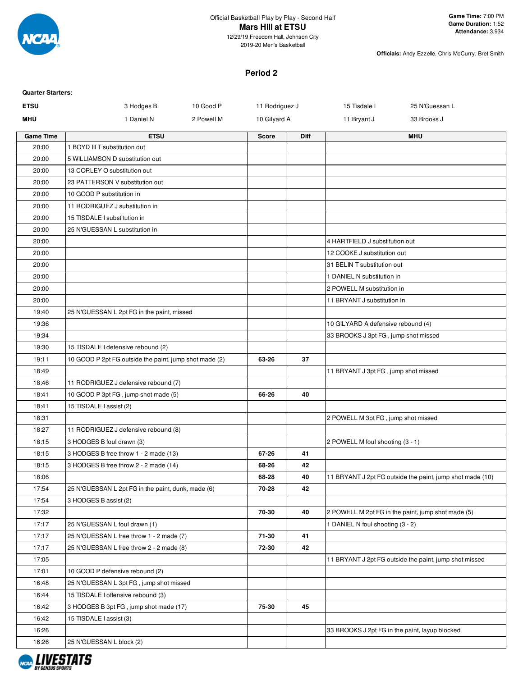

**Officials:** Andy Ezzelle, Chris McCurry, Bret Smith

#### **Period 2**

| <b>Quarter Starters:</b> |                                                        |            |                |             |                                                |                                                           |
|--------------------------|--------------------------------------------------------|------------|----------------|-------------|------------------------------------------------|-----------------------------------------------------------|
| <b>ETSU</b>              | 3 Hodges B                                             | 10 Good P  | 11 Rodriguez J |             | 15 Tisdale I                                   | 25 N'Guessan L                                            |
| <b>MHU</b>               | 1 Daniel N                                             | 2 Powell M | 10 Gilyard A   |             | 11 Bryant J                                    | 33 Brooks J                                               |
| <b>Game Time</b>         | <b>ETSU</b>                                            |            | <b>Score</b>   | <b>Diff</b> |                                                | <b>MHU</b>                                                |
| 20:00                    | 1 BOYD III T substitution out                          |            |                |             |                                                |                                                           |
| 20:00                    | 5 WILLIAMSON D substitution out                        |            |                |             |                                                |                                                           |
| 20:00                    | 13 CORLEY O substitution out                           |            |                |             |                                                |                                                           |
| 20:00                    | 23 PATTERSON V substitution out                        |            |                |             |                                                |                                                           |
| 20:00                    | 10 GOOD P substitution in                              |            |                |             |                                                |                                                           |
| 20:00                    | 11 RODRIGUEZ J substitution in                         |            |                |             |                                                |                                                           |
| 20:00                    | 15 TISDALE I substitution in                           |            |                |             |                                                |                                                           |
| 20:00                    | 25 N'GUESSAN L substitution in                         |            |                |             |                                                |                                                           |
| 20:00                    |                                                        |            |                |             | 4 HARTFIELD J substitution out                 |                                                           |
| 20:00                    |                                                        |            |                |             | 12 COOKE J substitution out                    |                                                           |
| 20:00                    |                                                        |            |                |             | 31 BELIN T substitution out                    |                                                           |
| 20:00                    |                                                        |            |                |             | 1 DANIEL N substitution in                     |                                                           |
| 20:00                    |                                                        |            |                |             | 2 POWELL M substitution in                     |                                                           |
| 20:00                    |                                                        |            |                |             | 11 BRYANT J substitution in                    |                                                           |
| 19:40                    | 25 N'GUESSAN L 2pt FG in the paint, missed             |            |                |             |                                                |                                                           |
| 19:36                    |                                                        |            |                |             | 10 GILYARD A defensive rebound (4)             |                                                           |
| 19:34                    |                                                        |            |                |             | 33 BROOKS J 3pt FG, jump shot missed           |                                                           |
| 19:30                    | 15 TISDALE I defensive rebound (2)                     |            |                |             |                                                |                                                           |
| 19:11                    | 10 GOOD P 2pt FG outside the paint, jump shot made (2) |            | 63-26          | 37          |                                                |                                                           |
| 18:49                    |                                                        |            |                |             | 11 BRYANT J 3pt FG, jump shot missed           |                                                           |
| 18:46                    | 11 RODRIGUEZ J defensive rebound (7)                   |            |                |             |                                                |                                                           |
| 18:41                    | 10 GOOD P 3pt FG, jump shot made (5)                   |            | 66-26          | 40          |                                                |                                                           |
| 18:41                    | 15 TISDALE I assist (2)                                |            |                |             |                                                |                                                           |
| 18:31                    |                                                        |            |                |             | 2 POWELL M 3pt FG, jump shot missed            |                                                           |
| 18:27                    | 11 RODRIGUEZ J defensive rebound (8)                   |            |                |             |                                                |                                                           |
| 18:15                    | 3 HODGES B foul drawn (3)                              |            |                |             | 2 POWELL M foul shooting (3 - 1)               |                                                           |
| 18:15                    | 3 HODGES B free throw 1 - 2 made (13)                  |            | 67-26          | 41          |                                                |                                                           |
| 18:15                    | 3 HODGES B free throw 2 - 2 made (14)                  |            | 68-26          | 42          |                                                |                                                           |
| 18:06                    |                                                        |            | 68-28          | 40          |                                                | 11 BRYANT J 2pt FG outside the paint, jump shot made (10) |
| 17:54                    | 25 N'GUESSAN L 2pt FG in the paint, dunk, made (6)     |            | 70-28          | 42          |                                                |                                                           |
| 17:54                    | 3 HODGES B assist (2)                                  |            |                |             |                                                |                                                           |
| 17:32                    |                                                        |            | 70-30          | 40          |                                                | 2 POWELL M 2pt FG in the paint, jump shot made (5)        |
| 17:17                    | 25 N'GUESSAN L foul drawn (1)                          |            |                |             | 1 DANIEL N foul shooting (3 - 2)               |                                                           |
| 17:17                    | 25 N'GUESSAN L free throw 1 - 2 made (7)               |            | 71-30          | 41          |                                                |                                                           |
| 17:17                    | 25 N'GUESSAN L free throw 2 - 2 made (8)               |            | 72-30          | 42          |                                                |                                                           |
| 17:05                    |                                                        |            |                |             |                                                | 11 BRYANT J 2pt FG outside the paint, jump shot missed    |
| 17:01                    | 10 GOOD P defensive rebound (2)                        |            |                |             |                                                |                                                           |
| 16:48                    | 25 N'GUESSAN L 3pt FG, jump shot missed                |            |                |             |                                                |                                                           |
| 16:44                    | 15 TISDALE I offensive rebound (3)                     |            |                |             |                                                |                                                           |
| 16:42                    | 3 HODGES B 3pt FG, jump shot made (17)                 |            | 75-30          | 45          |                                                |                                                           |
| 16:42                    | 15 TISDALE I assist (3)                                |            |                |             |                                                |                                                           |
| 16:26                    |                                                        |            |                |             | 33 BROOKS J 2pt FG in the paint, layup blocked |                                                           |
| 16:26                    | 25 N'GUESSAN L block (2)                               |            |                |             |                                                |                                                           |
|                          |                                                        |            |                |             |                                                |                                                           |

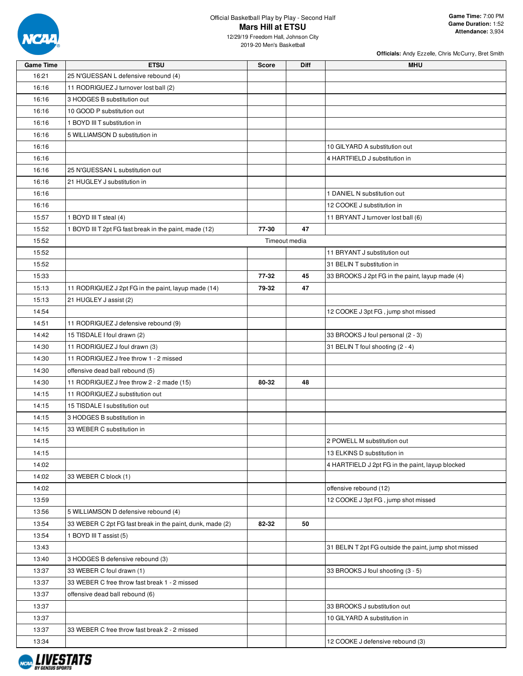

| <b>Game Time</b> | <b>ETSU</b>                                               | Score | Diff          | <b>MHU</b>                                            |
|------------------|-----------------------------------------------------------|-------|---------------|-------------------------------------------------------|
| 16:21            | 25 N'GUESSAN L defensive rebound (4)                      |       |               |                                                       |
| 16:16            | 11 RODRIGUEZ J turnover lost ball (2)                     |       |               |                                                       |
| 16:16            | 3 HODGES B substitution out                               |       |               |                                                       |
| 16:16            | 10 GOOD P substitution out                                |       |               |                                                       |
| 16:16            | 1 BOYD III T substitution in                              |       |               |                                                       |
| 16:16            | 5 WILLIAMSON D substitution in                            |       |               |                                                       |
| 16:16            |                                                           |       |               | 10 GILYARD A substitution out                         |
| 16:16            |                                                           |       |               | 4 HARTFIELD J substitution in                         |
| 16:16            | 25 N'GUESSAN L substitution out                           |       |               |                                                       |
| 16:16            | 21 HUGLEY J substitution in                               |       |               |                                                       |
| 16:16            |                                                           |       |               | 1 DANIEL N substitution out                           |
| 16:16            |                                                           |       |               | 12 COOKE J substitution in                            |
| 15:57            | 1 BOYD III T steal (4)                                    |       |               | 11 BRYANT J turnover lost ball (6)                    |
| 15:52            | 1 BOYD III T 2pt FG fast break in the paint, made (12)    | 77-30 | 47            |                                                       |
| 15:52            |                                                           |       | Timeout media |                                                       |
| 15:52            |                                                           |       |               | 11 BRYANT J substitution out                          |
| 15:52            |                                                           |       |               | 31 BELIN T substitution in                            |
| 15:33            |                                                           | 77-32 | 45            | 33 BROOKS J 2pt FG in the paint, layup made (4)       |
| 15:13            | 11 RODRIGUEZ J 2pt FG in the paint, layup made (14)       | 79-32 | 47            |                                                       |
| 15:13            | 21 HUGLEY J assist (2)                                    |       |               |                                                       |
| 14:54            |                                                           |       |               | 12 COOKE J 3pt FG, jump shot missed                   |
| 14:51            | 11 RODRIGUEZ J defensive rebound (9)                      |       |               |                                                       |
| 14:42            | 15 TISDALE I foul drawn (2)                               |       |               | 33 BROOKS J foul personal (2 - 3)                     |
| 14:30            | 11 RODRIGUEZ J foul drawn (3)                             |       |               | 31 BELIN T foul shooting (2 - 4)                      |
| 14:30            | 11 RODRIGUEZ J free throw 1 - 2 missed                    |       |               |                                                       |
| 14:30            | offensive dead ball rebound (5)                           |       |               |                                                       |
| 14:30            | 11 RODRIGUEZ J free throw 2 - 2 made (15)                 | 80-32 | 48            |                                                       |
| 14:15            | 11 RODRIGUEZ J substitution out                           |       |               |                                                       |
| 14:15            | 15 TISDALE I substitution out                             |       |               |                                                       |
| 14:15            | 3 HODGES B substitution in                                |       |               |                                                       |
| 14:15            | 33 WEBER C substitution in                                |       |               |                                                       |
| 14:15            |                                                           |       |               | 2 POWELL M substitution out                           |
| 14:15            |                                                           |       |               | 13 ELKINS D substitution in                           |
| 14:02            |                                                           |       |               | 4 HARTFIELD J 2pt FG in the paint, layup blocked      |
| 14:02            | 33 WEBER C block (1)                                      |       |               |                                                       |
| 14:02            |                                                           |       |               | offensive rebound (12)                                |
| 13:59            |                                                           |       |               | 12 COOKE J 3pt FG, jump shot missed                   |
| 13:56            | 5 WILLIAMSON D defensive rebound (4)                      |       |               |                                                       |
| 13:54            | 33 WEBER C 2pt FG fast break in the paint, dunk, made (2) | 82-32 | 50            |                                                       |
| 13:54            | 1 BOYD III T assist (5)                                   |       |               |                                                       |
| 13:43            |                                                           |       |               | 31 BELIN T 2pt FG outside the paint, jump shot missed |
| 13:40            | 3 HODGES B defensive rebound (3)                          |       |               |                                                       |
| 13:37            | 33 WEBER C foul drawn (1)                                 |       |               | 33 BROOKS J foul shooting (3 - 5)                     |
| 13:37            | 33 WEBER C free throw fast break 1 - 2 missed             |       |               |                                                       |
| 13:37            | offensive dead ball rebound (6)                           |       |               |                                                       |
| 13:37            |                                                           |       |               | 33 BROOKS J substitution out                          |
| 13:37            |                                                           |       |               | 10 GILYARD A substitution in                          |
| 13:37            | 33 WEBER C free throw fast break 2 - 2 missed             |       |               |                                                       |
| 13:34            |                                                           |       |               | 12 COOKE J defensive rebound (3)                      |

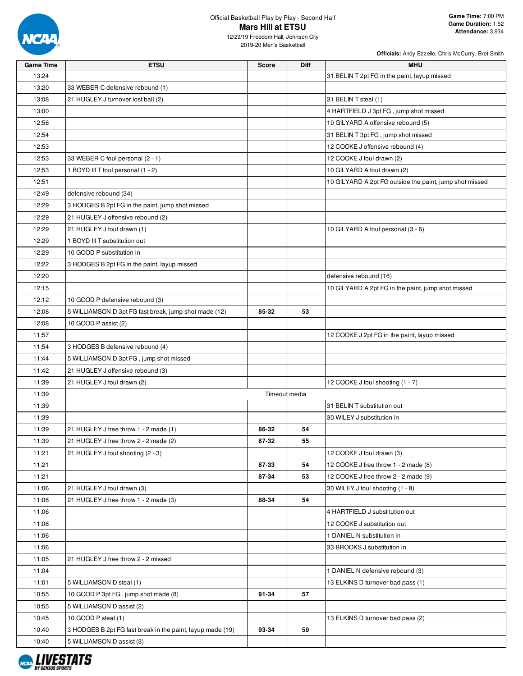

| <b>Game Time</b> | <b>ETSU</b>                                                | <b>Score</b> | <b>Diff</b>   | <b>MHU</b>                                              |
|------------------|------------------------------------------------------------|--------------|---------------|---------------------------------------------------------|
| 13:24            |                                                            |              |               | 31 BELIN T 2pt FG in the paint, layup missed            |
| 13:20            | 33 WEBER C defensive rebound (1)                           |              |               |                                                         |
| 13:08            | 21 HUGLEY J turnover lost ball (2)                         |              |               | 31 BELIN T steal (1)                                    |
| 13:00            |                                                            |              |               | 4 HARTFIELD J 3pt FG, jump shot missed                  |
| 12:56            |                                                            |              |               | 10 GILYARD A offensive rebound (5)                      |
| 12:54            |                                                            |              |               | 31 BELIN T 3pt FG, jump shot missed                     |
| 12:53            |                                                            |              |               | 12 COOKE J offensive rebound (4)                        |
| 12:53            | 33 WEBER C foul personal (2 - 1)                           |              |               | 12 COOKE J foul drawn (2)                               |
| 12:53            | 1 BOYD III T foul personal (1 - 2)                         |              |               | 10 GILYARD A foul drawn (2)                             |
| 12:51            |                                                            |              |               | 10 GILYARD A 2pt FG outside the paint, jump shot missed |
| 12:49            | defensive rebound (34)                                     |              |               |                                                         |
| 12:29            | 3 HODGES B 2pt FG in the paint, jump shot missed           |              |               |                                                         |
| 12:29            | 21 HUGLEY J offensive rebound (2)                          |              |               |                                                         |
| 12:29            |                                                            |              |               |                                                         |
|                  | 21 HUGLEY J foul drawn (1)                                 |              |               | 10 GILYARD A foul personal (3 - 6)                      |
| 12:29            | 1 BOYD III T substitution out                              |              |               |                                                         |
| 12:29            | 10 GOOD P substitution in                                  |              |               |                                                         |
| 12:22            | 3 HODGES B 2pt FG in the paint, layup missed               |              |               |                                                         |
| 12:20            |                                                            |              |               | defensive rebound (16)                                  |
| 12:15            |                                                            |              |               | 10 GILYARD A 2pt FG in the paint, jump shot missed      |
| 12:12            | 10 GOOD P defensive rebound (3)                            |              |               |                                                         |
| 12:08            | 5 WILLIAMSON D 3pt FG fast break, jump shot made (12)      | 85-32        | 53            |                                                         |
| 12:08            | 10 GOOD P assist (2)                                       |              |               |                                                         |
| 11:57            |                                                            |              |               | 12 COOKE J 2pt FG in the paint, layup missed            |
| 11:54            | 3 HODGES B defensive rebound (4)                           |              |               |                                                         |
| 11:44            | 5 WILLIAMSON D 3pt FG, jump shot missed                    |              |               |                                                         |
| 11:42            | 21 HUGLEY J offensive rebound (3)                          |              |               |                                                         |
| 11:39            | 21 HUGLEY J foul drawn (2)                                 |              |               | 12 COOKE J foul shooting (1 - 7)                        |
| 11:39            |                                                            |              | Timeout media |                                                         |
| 11:39            |                                                            |              |               | 31 BELIN T substitution out                             |
| 11:39            |                                                            |              |               | 30 WILEY J substitution in                              |
| 11:39            | 21 HUGLEY J free throw 1 - 2 made (1)                      | 86-32        | 54            |                                                         |
| 11:39            | 21 HUGLEY J free throw 2 - 2 made (2)                      | 87-32        | 55            |                                                         |
| 11:21            | 21 HUGLEY J foul shooting (2 - 3)                          |              |               | 12 COOKE J foul drawn (3)                               |
| 11:21            |                                                            | 87-33        | 54            | 12 COOKE J free throw 1 - 2 made (8)                    |
| 11:21            |                                                            | 87-34        | 53            | 12 COOKE J free throw 2 - 2 made (9)                    |
| 11:06            | 21 HUGLEY J foul drawn (3)                                 |              |               | 30 WILEY J foul shooting (1 - 8)                        |
| 11:06            | 21 HUGLEY J free throw 1 - 2 made (3)                      | 88-34        | 54            |                                                         |
| 11:06            |                                                            |              |               | 4 HARTFIELD J substitution out                          |
| 11:06            |                                                            |              |               | 12 COOKE J substitution out                             |
| 11:06            |                                                            |              |               | 1 DANIEL N substitution in                              |
| 11:06            |                                                            |              |               | 33 BROOKS J substitution in                             |
| 11:05            | 21 HUGLEY J free throw 2 - 2 missed                        |              |               |                                                         |
| 11:04            |                                                            |              |               | 1 DANIEL N defensive rebound (3)                        |
| 11:01            | 5 WILLIAMSON D steal (1)                                   |              |               | 13 ELKINS D turnover bad pass (1)                       |
| 10:55            | 10 GOOD P 3pt FG, jump shot made (8)                       | 91-34        | 57            |                                                         |
| 10:55            | 5 WILLIAMSON D assist (2)                                  |              |               |                                                         |
|                  |                                                            |              |               |                                                         |
| 10:45            | 10 GOOD P steal (1)                                        |              |               | 13 ELKINS D turnover bad pass (2)                       |
| 10:40            | 3 HODGES B 2pt FG fast break in the paint, layup made (19) | 93-34        | 59            |                                                         |
| 10:40            | 5 WILLIAMSON D assist (3)                                  |              |               |                                                         |

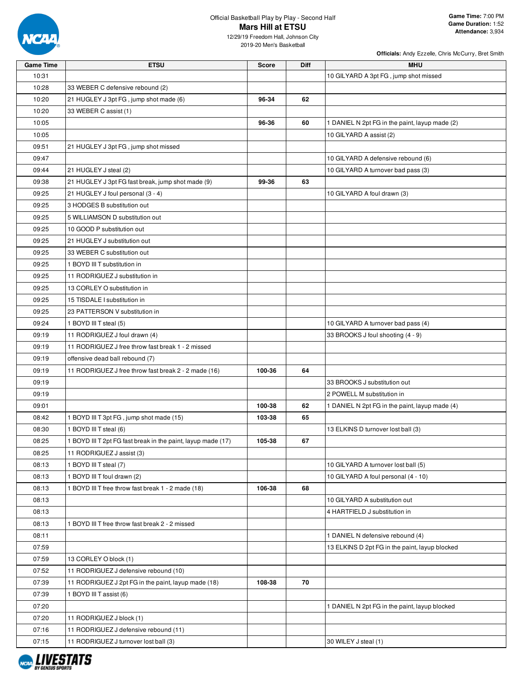

12/29/19 Freedom Hall, Johnson City 2019-20 Men's Basketball

| <b>Game Time</b> | <b>ETSU</b>                                                  | <b>Score</b> | <b>Diff</b> | <b>MHU</b>                                     |
|------------------|--------------------------------------------------------------|--------------|-------------|------------------------------------------------|
| 10:31            |                                                              |              |             | 10 GILYARD A 3pt FG, jump shot missed          |
| 10:28            | 33 WEBER C defensive rebound (2)                             |              |             |                                                |
| 10:20            | 21 HUGLEY J 3pt FG, jump shot made (6)                       | 96-34        | 62          |                                                |
| 10:20            | 33 WEBER C assist (1)                                        |              |             |                                                |
| 10:05            |                                                              | 96-36        | 60          | 1 DANIEL N 2pt FG in the paint, layup made (2) |
| 10:05            |                                                              |              |             | 10 GILYARD A assist (2)                        |
| 09:51            | 21 HUGLEY J 3pt FG, jump shot missed                         |              |             |                                                |
| 09:47            |                                                              |              |             | 10 GILYARD A defensive rebound (6)             |
| 09:44            | 21 HUGLEY J steal (2)                                        |              |             | 10 GILYARD A turnover bad pass (3)             |
| 09:38            | 21 HUGLEY J 3pt FG fast break, jump shot made (9)            | 99-36        | 63          |                                                |
| 09:25            | 21 HUGLEY J foul personal (3 - 4)                            |              |             | 10 GILYARD A foul drawn (3)                    |
| 09:25            | 3 HODGES B substitution out                                  |              |             |                                                |
| 09:25            | 5 WILLIAMSON D substitution out                              |              |             |                                                |
| 09:25            | 10 GOOD P substitution out                                   |              |             |                                                |
| 09:25            | 21 HUGLEY J substitution out                                 |              |             |                                                |
| 09:25            | 33 WEBER C substitution out                                  |              |             |                                                |
| 09:25            | 1 BOYD III T substitution in                                 |              |             |                                                |
| 09:25            | 11 RODRIGUEZ J substitution in                               |              |             |                                                |
| 09:25            | 13 CORLEY O substitution in                                  |              |             |                                                |
| 09:25            | 15 TISDALE I substitution in                                 |              |             |                                                |
| 09:25            | 23 PATTERSON V substitution in                               |              |             |                                                |
| 09:24            | 1 BOYD III T steal (5)                                       |              |             | 10 GILYARD A turnover bad pass (4)             |
| 09:19            | 11 RODRIGUEZ J foul drawn (4)                                |              |             | 33 BROOKS J foul shooting (4 - 9)              |
| 09:19            | 11 RODRIGUEZ J free throw fast break 1 - 2 missed            |              |             |                                                |
| 09:19            | offensive dead ball rebound (7)                              |              |             |                                                |
| 09:19            | 11 RODRIGUEZ J free throw fast break 2 - 2 made (16)         | 100-36       | 64          |                                                |
| 09:19            |                                                              |              |             | 33 BROOKS J substitution out                   |
| 09:19            |                                                              |              |             | 2 POWELL M substitution in                     |
| 09:01            |                                                              | 100-38       | 62          | 1 DANIEL N 2pt FG in the paint, layup made (4) |
| 08:42            | 1 BOYD III T 3pt FG, jump shot made (15)                     | 103-38       | 65          |                                                |
| 08:30            | 1 BOYD III T steal (6)                                       |              |             | 13 ELKINS D turnover lost ball (3)             |
| 08:25            | 1 BOYD III T 2pt FG fast break in the paint, layup made (17) | 105-38       | 67          |                                                |
| 08:25            | 11 RODRIGUEZ J assist (3)                                    |              |             |                                                |
| 08:13            | 1 BOYD III T steal (7)                                       |              |             | 10 GILYARD A turnover lost ball (5)            |
| 08:13            | 1 BOYD III T foul drawn (2)                                  |              |             | 10 GILYARD A foul personal (4 - 10)            |
| 08:13            | 1 BOYD III T free throw fast break 1 - 2 made (18)           | 106-38       | 68          |                                                |
| 08:13            |                                                              |              |             | 10 GILYARD A substitution out                  |
| 08:13            |                                                              |              |             | 4 HARTFIELD J substitution in                  |
| 08:13            | 1 BOYD III T free throw fast break 2 - 2 missed              |              |             |                                                |
| 08:11            |                                                              |              |             | 1 DANIEL N defensive rebound (4)               |
| 07:59            |                                                              |              |             | 13 ELKINS D 2pt FG in the paint, layup blocked |
| 07:59            | 13 CORLEY O block (1)                                        |              |             |                                                |
| 07:52            | 11 RODRIGUEZ J defensive rebound (10)                        |              |             |                                                |
| 07:39            | 11 RODRIGUEZ J 2pt FG in the paint, layup made (18)          | 108-38       | 70          |                                                |
| 07:39            | 1 BOYD III T assist (6)                                      |              |             |                                                |
| 07:20            |                                                              |              |             | 1 DANIEL N 2pt FG in the paint, layup blocked  |
| 07:20            | 11 RODRIGUEZ J block (1)                                     |              |             |                                                |
| 07:16            | 11 RODRIGUEZ J defensive rebound (11)                        |              |             |                                                |
| 07:15            | 11 RODRIGUEZ J turnover lost ball (3)                        |              |             | 30 WILEY J steal (1)                           |

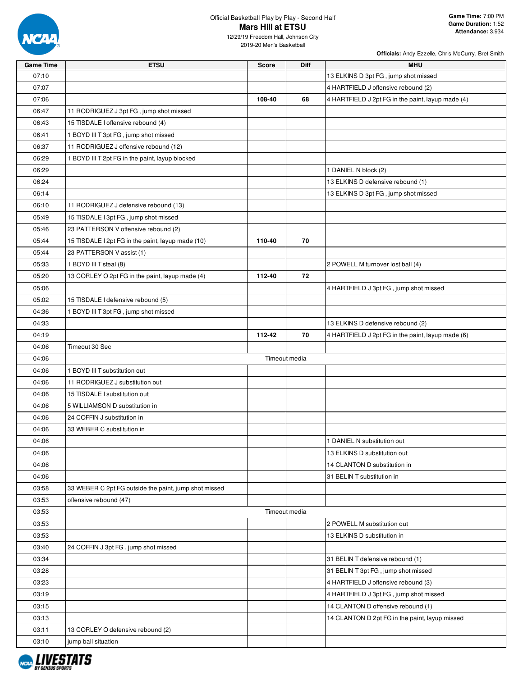

12/29/19 Freedom Hall, Johnson City 2019-20 Men's Basketball

| <b>Game Time</b> | <b>ETSU</b>                                           | Score  | Diff          | MHU                                               |
|------------------|-------------------------------------------------------|--------|---------------|---------------------------------------------------|
| 07:10            |                                                       |        |               | 13 ELKINS D 3pt FG, jump shot missed              |
| 07:07            |                                                       |        |               | 4 HARTFIELD J offensive rebound (2)               |
| 07:06            |                                                       | 108-40 | 68            | 4 HARTFIELD J 2pt FG in the paint, layup made (4) |
| 06:47            | 11 RODRIGUEZ J 3pt FG, jump shot missed               |        |               |                                                   |
| 06:43            | 15 TISDALE I offensive rebound (4)                    |        |               |                                                   |
| 06:41            | 1 BOYD III T 3pt FG, jump shot missed                 |        |               |                                                   |
| 06:37            | 11 RODRIGUEZ J offensive rebound (12)                 |        |               |                                                   |
| 06:29            | 1 BOYD III T 2pt FG in the paint, layup blocked       |        |               |                                                   |
| 06:29            |                                                       |        |               | 1 DANIEL N block (2)                              |
| 06:24            |                                                       |        |               | 13 ELKINS D defensive rebound (1)                 |
| 06:14            |                                                       |        |               | 13 ELKINS D 3pt FG, jump shot missed              |
| 06:10            | 11 RODRIGUEZ J defensive rebound (13)                 |        |               |                                                   |
| 05:49            | 15 TISDALE I 3pt FG, jump shot missed                 |        |               |                                                   |
| 05:46            | 23 PATTERSON V offensive rebound (2)                  |        |               |                                                   |
| 05:44            | 15 TISDALE I 2pt FG in the paint, layup made (10)     | 110-40 | 70            |                                                   |
| 05:44            | 23 PATTERSON V assist (1)                             |        |               |                                                   |
| 05:33            | 1 BOYD III T steal (8)                                |        |               | 2 POWELL M turnover lost ball (4)                 |
| 05:20            | 13 CORLEY O 2pt FG in the paint, layup made (4)       | 112-40 | 72            |                                                   |
| 05:06            |                                                       |        |               | 4 HARTFIELD J 3pt FG, jump shot missed            |
| 05:02            | 15 TISDALE I defensive rebound (5)                    |        |               |                                                   |
| 04:36            | 1 BOYD III T 3pt FG, jump shot missed                 |        |               |                                                   |
| 04:33            |                                                       |        |               | 13 ELKINS D defensive rebound (2)                 |
| 04:19            |                                                       | 112-42 | 70            | 4 HARTFIELD J 2pt FG in the paint, layup made (6) |
| 04:06            | Timeout 30 Sec                                        |        |               |                                                   |
| 04:06            |                                                       |        | Timeout media |                                                   |
| 04:06            | 1 BOYD III T substitution out                         |        |               |                                                   |
| 04:06            | 11 RODRIGUEZ J substitution out                       |        |               |                                                   |
| 04:06            | 15 TISDALE I substitution out                         |        |               |                                                   |
| 04:06            | 5 WILLIAMSON D substitution in                        |        |               |                                                   |
| 04:06            | 24 COFFIN J substitution in                           |        |               |                                                   |
| 04:06            | 33 WEBER C substitution in                            |        |               |                                                   |
| 04:06            |                                                       |        |               | 1 DANIEL N substitution out                       |
| 04:06            |                                                       |        |               | 13 ELKINS D substitution out                      |
| 04:06            |                                                       |        |               | 14 CLANTON D substitution in                      |
| 04:06            |                                                       |        |               | 31 BELIN T substitution in                        |
| 03:58            | 33 WEBER C 2pt FG outside the paint, jump shot missed |        |               |                                                   |
| 03:53            | offensive rebound (47)                                |        |               |                                                   |
| 03:53            |                                                       |        | Timeout media |                                                   |
| 03:53            |                                                       |        |               | 2 POWELL M substitution out                       |
| 03:53            |                                                       |        |               | 13 ELKINS D substitution in                       |
| 03:40            | 24 COFFIN J 3pt FG, jump shot missed                  |        |               |                                                   |
| 03:34            |                                                       |        |               | 31 BELIN T defensive rebound (1)                  |
| 03:28            |                                                       |        |               | 31 BELIN T 3pt FG, jump shot missed               |
| 03:23            |                                                       |        |               | 4 HARTFIELD J offensive rebound (3)               |
| 03:19            |                                                       |        |               | 4 HARTFIELD J 3pt FG, jump shot missed            |
| 03:15            |                                                       |        |               | 14 CLANTON D offensive rebound (1)                |
| 03:13            |                                                       |        |               | 14 CLANTON D 2pt FG in the paint, layup missed    |
| 03:11            | 13 CORLEY O defensive rebound (2)                     |        |               |                                                   |
| 03:10            | jump ball situation                                   |        |               |                                                   |
|                  |                                                       |        |               |                                                   |

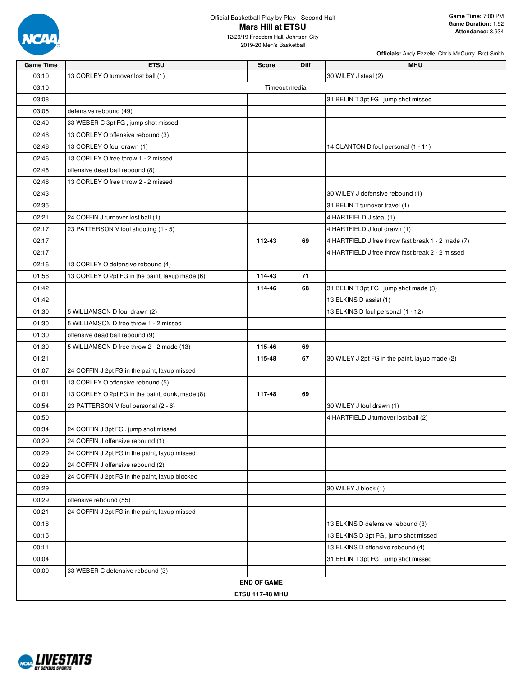

12/29/19 Freedom Hall, Johnson City 2019-20 Men's Basketball

| <b>Game Time</b> | <b>ETSU</b>                                     | <b>Score</b>           | <b>Diff</b> | <b>MHU</b>                                         |
|------------------|-------------------------------------------------|------------------------|-------------|----------------------------------------------------|
| 03:10            | 13 CORLEY O turnover lost ball (1)              |                        |             | 30 WILEY J steal (2)                               |
| 03:10            |                                                 | Timeout media          |             |                                                    |
| 03:08            |                                                 |                        |             | 31 BELIN T 3pt FG, jump shot missed                |
| 03:05            | defensive rebound (49)                          |                        |             |                                                    |
| 02:49            | 33 WEBER C 3pt FG, jump shot missed             |                        |             |                                                    |
| 02:46            | 13 CORLEY O offensive rebound (3)               |                        |             |                                                    |
| 02:46            | 13 CORLEY O foul drawn (1)                      |                        |             | 14 CLANTON D foul personal (1 - 11)                |
| 02:46            | 13 CORLEY O free throw 1 - 2 missed             |                        |             |                                                    |
| 02:46            | offensive dead ball rebound (8)                 |                        |             |                                                    |
| 02:46            | 13 CORLEY O free throw 2 - 2 missed             |                        |             |                                                    |
| 02:43            |                                                 |                        |             | 30 WILEY J defensive rebound (1)                   |
| 02:35            |                                                 |                        |             | 31 BELIN T turnover travel (1)                     |
| 02:21            | 24 COFFIN J turnover lost ball (1)              |                        |             | 4 HARTFIELD J steal (1)                            |
| 02:17            | 23 PATTERSON V foul shooting (1 - 5)            |                        |             | 4 HARTFIELD J foul drawn (1)                       |
| 02:17            |                                                 | 112-43                 | 69          | 4 HARTFIELD J free throw fast break 1 - 2 made (7) |
| 02:17            |                                                 |                        |             | 4 HARTFIELD J free throw fast break 2 - 2 missed   |
| 02:16            | 13 CORLEY O defensive rebound (4)               |                        |             |                                                    |
| 01:56            | 13 CORLEY O 2pt FG in the paint, layup made (6) | 114-43                 | 71          |                                                    |
| 01:42            |                                                 | 114-46                 | 68          | 31 BELIN T 3pt FG, jump shot made (3)              |
| 01:42            |                                                 |                        |             | 13 ELKINS D assist (1)                             |
| 01:30            | 5 WILLIAMSON D foul drawn (2)                   |                        |             | 13 ELKINS D foul personal (1 - 12)                 |
| 01:30            | 5 WILLIAMSON D free throw 1 - 2 missed          |                        |             |                                                    |
| 01:30            | offensive dead ball rebound (9)                 |                        |             |                                                    |
| 01:30            | 5 WILLIAMSON D free throw 2 - 2 made (13)       | 115-46                 | 69          |                                                    |
| 01:21            |                                                 | 115-48                 | 67          | 30 WILEY J 2pt FG in the paint, layup made (2)     |
| 01:07            | 24 COFFIN J 2pt FG in the paint, layup missed   |                        |             |                                                    |
| 01:01            | 13 CORLEY O offensive rebound (5)               |                        |             |                                                    |
| 01:01            | 13 CORLEY O 2pt FG in the paint, dunk, made (8) | 117-48                 | 69          |                                                    |
| 00:54            | 23 PATTERSON V foul personal (2 - 6)            |                        |             | 30 WILEY J foul drawn (1)                          |
| 00:50            |                                                 |                        |             | 4 HARTFIELD J turnover lost ball (2)               |
| 00:34            | 24 COFFIN J 3pt FG, jump shot missed            |                        |             |                                                    |
| 00:29            | 24 COFFIN J offensive rebound (1)               |                        |             |                                                    |
| 00:29            | 24 COFFIN J 2pt FG in the paint, layup missed   |                        |             |                                                    |
| 00:29            | 24 COFFIN J offensive rebound (2)               |                        |             |                                                    |
| 00:29            | 24 COFFIN J 2pt FG in the paint, layup blocked  |                        |             |                                                    |
| 00:29            |                                                 |                        |             | 30 WILEY J block (1)                               |
| 00:29            | offensive rebound (55)                          |                        |             |                                                    |
| 00:21            | 24 COFFIN J 2pt FG in the paint, layup missed   |                        |             |                                                    |
| 00:18            |                                                 |                        |             | 13 ELKINS D defensive rebound (3)                  |
| 00:15            |                                                 |                        |             | 13 ELKINS D 3pt FG, jump shot missed               |
| 00:11            |                                                 |                        |             | 13 ELKINS D offensive rebound (4)                  |
| 00:04            |                                                 |                        |             | 31 BELIN T 3pt FG, jump shot missed                |
| 00:00            | 33 WEBER C defensive rebound (3)                |                        |             |                                                    |
|                  |                                                 | <b>END OF GAME</b>     |             |                                                    |
|                  |                                                 | <b>ETSU 117-48 MHU</b> |             |                                                    |

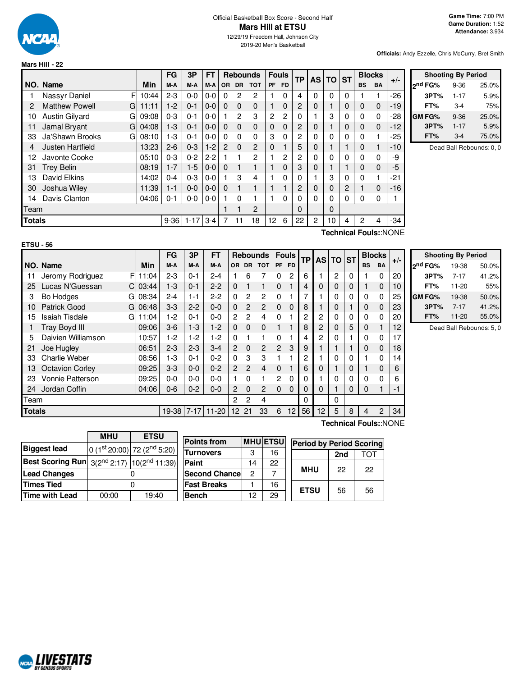

# Official Basketball Box Score - Second Half **Mars Hill at ETSU**

12/29/19 Freedom Hall, Johnson City 2019-20 Men's Basketball

**Officials:** Andy Ezzelle, Chris McCurry, Bret Smith

|        |                            |       | FG       | 3P       | <b>FT</b> |               | <b>Rebounds</b> |                | <b>Fouls</b> |           |                | ТP             | <b>AS</b> | ΤO       | <b>ST</b>      | <b>Blocks</b> |       | $+/-$ |
|--------|----------------------------|-------|----------|----------|-----------|---------------|-----------------|----------------|--------------|-----------|----------------|----------------|-----------|----------|----------------|---------------|-------|-------|
|        | NO. Name                   | Min   | M-A      | M-A      | M-A       | <b>OR</b>     | <b>DR</b>       | <b>TOT</b>     | <b>PF</b>    | <b>FD</b> |                |                |           |          | <b>BS</b>      | <b>BA</b>     |       |       |
|        | F<br>Nassyr Daniel         | 10:44 | $2 - 3$  | $0 - 0$  | 0-0       | 0             | 2               | 2              |              | 0         | 4              | 0              | $\Omega$  | 0        |                |               | $-26$ |       |
| 2      | <b>Matthew Powell</b><br>G | 11:11 | $1-2$    | $0 - 1$  | $0-0$     | 0             | $\Omega$        | $\Omega$       |              | $\Omega$  | 2              | 0              |           | $\Omega$ | $\Omega$       | $\Omega$      | $-19$ |       |
| 10     | Austin Gilyard<br>G        | 09:08 | $0 - 3$  | $0 - 1$  | $0 - 0$   |               | $\mathcal{P}$   | 3              | 2            | 2         | 0              |                | 3         | 0        | $\Omega$       | $\Omega$      | $-28$ |       |
| 11     | Jamal Bryant<br>G          | 04:08 | $1-3$    | $0 - 1$  | $0-0$     | $\Omega$      | $\Omega$        | $\Omega$       | $\mathbf 0$  | $\Omega$  | 2              | 0              |           | $\Omega$ | $\Omega$       | $\Omega$      | $-12$ |       |
| 33     | Ja'Shawn Brooks<br>G       | 08:10 | $1-3$    | $0 - 1$  | $0-0$     | $\Omega$      | $\Omega$        | 0              | 3            | 0         | 2              | 0              | 0         | 0        | 0              |               | $-25$ |       |
| 4      | Justen Hartfield           | 13:23 | $2 - 6$  | $0 - 3$  | $1 - 2$   | $\mathcal{P}$ | $\Omega$        | $\overline{2}$ | 0            |           | 5              | 0              |           |          | $\Omega$       |               | $-10$ |       |
| 12     | Javonte Cooke              | 05:10 | $0 - 3$  | $0 - 2$  | $2-2$     |               |                 | $\mathcal{P}$  |              | 2         | $\overline{2}$ | $\Omega$       | 0         | 0        | 0              | 0             | -9    |       |
| 31     | <b>Trey Belin</b>          | 08:19 | $1 - 7$  | $1-5$    | $0 - 0$   | $\Omega$      |                 |                |              | $\Omega$  | 3              | 0              |           |          | $\Omega$       | $\Omega$      | $-5$  |       |
| 13     | David Elkins               | 14:02 | $0 - 4$  | $0 - 3$  | $0-0$     |               | 3               | 4              |              | 0         | 0              |                | 3         | 0        | 0              |               | -21   |       |
| 30     | Joshua Wiley               | 11:39 | $1 - 1$  | $0 - 0$  | $0-0$     | $\Omega$      |                 |                |              |           | 2              | 0              | 0         | 2        |                | $\mathbf 0$   | $-16$ |       |
| 14     | Davis Clanton              | 04:06 | $0 - 1$  | $0-0$    | $0 - 0$   |               | $\Omega$        |                |              | 0         | 0              | $\Omega$       | 0         | 0        | 0              | 0             |       |       |
| Team   |                            |       |          |          |           |               |                 | 2              |              |           | 0              |                | $\Omega$  |          |                |               |       |       |
| Totals |                            |       | $9 - 36$ | $1 - 17$ | $3 - 4$   | 7             | 11              | 18             | 12           | 6         | 22             | $\overline{2}$ | 10        | 4        | $\overline{c}$ | 4             | -34   |       |

| <b>Shooting By Period</b> |          |       |  |  |  |  |  |  |  |  |  |
|---------------------------|----------|-------|--|--|--|--|--|--|--|--|--|
| 2nd FG%                   | $9 - 36$ | 25.0% |  |  |  |  |  |  |  |  |  |
| 3PT%                      | $1 - 17$ | 5.9%  |  |  |  |  |  |  |  |  |  |
| FT%                       | 3-4      | 75%   |  |  |  |  |  |  |  |  |  |
| GM FG%                    | $9 - 36$ | 25.0% |  |  |  |  |  |  |  |  |  |
| 3PT%                      | $1 - 17$ | 5.9%  |  |  |  |  |  |  |  |  |  |
| FT%                       | $3-4$    | 75.0% |  |  |  |  |  |  |  |  |  |

Dead Ball Rebounds: 0, 0

#### **ETSU - 56**

**Technical Fouls:**:NONE

|               |                             |            | FG      | 3Р      | FT               |                |                | Rebounds   Fouls |              |              | <b>TP</b> |                | <b>AS TO</b>   | <b>ST</b> |           | <b>Blocks</b>  | $+/-$                 | Shoo                |
|---------------|-----------------------------|------------|---------|---------|------------------|----------------|----------------|------------------|--------------|--------------|-----------|----------------|----------------|-----------|-----------|----------------|-----------------------|---------------------|
|               | NO. Name                    | Min        | M-A     | M-A     | M-A              |                |                | OR DR TOT        |              | PF FD        |           |                |                |           | <b>BS</b> | <b>BA</b>      |                       | 2 <sup>nd</sup> FG% |
| 11            | Jeromy Rodriguez            | F111:04    | $2 - 3$ | $0 - 1$ | $2 - 4$          |                | 6              |                  | 0            | 2            | 6         |                | $\overline{2}$ | 0         |           | 0              | 20                    | 3PT <sub>2</sub>    |
| 25            | Lucas N'Guessan             | $Cl$ 03:44 | $1-3$   | $0 - 1$ | $2 - 2$          | 0              |                |                  | 0            |              | 4         | 0              | $\mathbf 0$    | 0         |           | 0              | 10                    | FT%                 |
| 3             | Bo Hodges                   | $G$ 08:34  | $2 - 4$ | $1 - 1$ | $2 - 2$          | $\Omega$       | 2              | $\overline{c}$   | 0            |              |           |                | 0              | 0         | 0         | 0              | 25                    | GM FG%              |
| 10            | Patrick Good                | $G$ 06:48  | $3 - 3$ | $2 - 2$ | $0 - 0$          | 0              | $\overline{2}$ | $\overline{2}$   | 0            | $\mathbf{0}$ | 8         |                | 0              |           | 0         | 0              | 23                    | 3PT <sub>9</sub>    |
| 15            | <b>Isaiah Tisdale</b><br>GI | 11:04      | 1-2     | $0 - 1$ | $0 - 0$          | $\overline{2}$ | 2              | 4                | 0            |              | 2         | 2              | 0              | 0         | 0         | 0              | 20                    | FT%                 |
|               | <b>Tray Boyd III</b>        | 09:06      | $3-6$   | $1-3$   | $1-2$            | $\Omega$       | $\Omega$       | $\Omega$         |              |              | 8         | $\overline{c}$ | $\Omega$       | 5         | 0         | 1              | 12                    | Dea                 |
| 5             | Daivien Williamson          | 10:57      | 1-2     | $1-2$   | $1-2$            | 0              |                |                  | 0            |              |           | 2              | 0              |           | 0         | 0              | 17                    |                     |
| 21            | Joe Hugley                  | 06:51      | $2 - 3$ | $2 - 3$ | $3-4$            | 2              | 0              | $\overline{2}$   | $\mathbf{2}$ | 3            | 9         |                |                |           | $\Omega$  | 0              | 18                    |                     |
| 33            | <b>Charlie Weber</b>        | 08:56      | 1-3     | $0 - 1$ | $0 - 2$          | 0              | 3              | 3                |              |              | 2         |                | 0              |           |           | 0              | 14                    |                     |
| 13            | <b>Octavion Corley</b>      | 09:25      | $3-3$   | $0 - 0$ | $0 - 2$          | $\overline{2}$ | $\overline{2}$ | 4                | 0            |              | 6         | 0              |                | 0         |           | 0              | 6                     |                     |
| 23            | <b>Vonnie Patterson</b>     | 09:25      | $0-0$   | 0-0     | $0-0$            |                | 0              |                  | $\mathbf{2}$ | 0            |           |                | 0              | 0         | 0         | $\mathbf 0$    | 6                     |                     |
| 24            | Jordan Coffin               | 04:06      | $0 - 6$ | $0 - 2$ | $0 - 0$          | 2              | $\Omega$       | 2                | $\Omega$     | $\Omega$     |           | 0              |                | 0         | $\Omega$  |                | $-1$                  |                     |
| Team          |                             |            |         |         |                  | $\mathbf{2}$   | 2              | 4                |              |              | 0         |                | 0              |           |           |                |                       |                     |
| <b>Totals</b> |                             |            |         |         | 19-38 7-17 11-20 |                | 12 21          | 33               | 6            | 12           | 56        | 12             | 5              | 8         | 4         | $\overline{c}$ | 34                    |                     |
|               |                             |            |         |         |                  |                |                |                  |              |              |           |                |                |           |           |                | Technical Fouls::NONE |                     |

|                     | <b>Shooting By Period</b> |       |
|---------------------|---------------------------|-------|
| 2 <sup>nd</sup> FG% | 19-38                     | 50.0% |
| 3PT%                | $7 - 17$                  | 41.2% |
| FT%                 | $11 - 20$                 | 55%   |
| GM FG%              | 19-38                     | 50.0% |
| 3PT%                | $7 - 17$                  | 41.2% |
| FT%                 | $11 - 20$                 | 55.0% |

ad Ball Rebounds:  $5, 0$ 

|                                                             | <b>MHU</b> | <b>ETSU</b>                             | Poi        |
|-------------------------------------------------------------|------------|-----------------------------------------|------------|
| <b>Biggest lead</b>                                         |            | $0(1st20:00)$ 72 (2 <sup>nd</sup> 5:20) | Tur        |
| <b>Best Scoring Run</b> $3(2^{nd} 2:17)$ $10(2^{nd} 11:39)$ |            |                                         | Pair       |
| <b>Lead Changes</b>                                         |            |                                         | <b>Sec</b> |
| <b>Times Tied</b>                                           |            |                                         | Fas        |
| <b>Time with Lead</b>                                       | 00:00      | 19:40                                   | Ben        |

| <b>Points from</b>    |    | <b>MHUETSU</b> | <b>Period by Period Scoring</b> |     |     |
|-----------------------|----|----------------|---------------------------------|-----|-----|
| <b>Turnovers</b>      | З  | 16             |                                 | 2nd | TOT |
| Paint                 | 14 | 22             |                                 |     |     |
| <b>Second Chancel</b> | 2  |                | <b>MHU</b>                      | 22  | 22  |
| <b>Fast Breaks</b>    |    | 16             | <b>ETSU</b>                     | 56  |     |
| Bench                 | 12 | 29             |                                 |     | 56  |

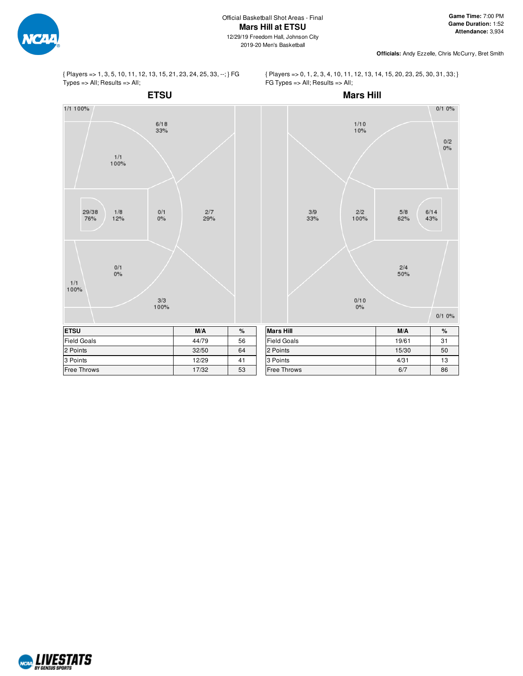

**Officials:** Andy Ezzelle, Chris McCurry, Bret Smith

{ Players => 1, 3, 5, 10, 11, 12, 13, 15, 21, 23, 24, 25, 33, --; } FG  $Types = > All; Results = > All;$ 





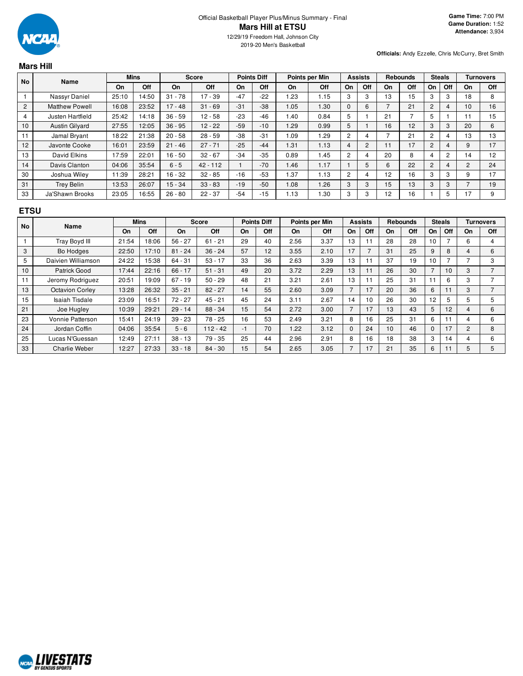

**Officials:** Andy Ezzelle, Chris McCurry, Bret Smith

# **Mars Hill**

| <b>No</b>      | Name                  |       | <b>Mins</b> |           | <b>Score</b> |       | <b>Points Diff</b> |      | Points per Min |          | <b>Assists</b> |                 | <b>Rebounds</b> |    | <b>Steals</b> |    | Turnovers |
|----------------|-----------------------|-------|-------------|-----------|--------------|-------|--------------------|------|----------------|----------|----------------|-----------------|-----------------|----|---------------|----|-----------|
|                |                       | On    | Off         | On        | Off          | On    | Off                | On   | <b>Off</b>     | On       | Off            | On              | Off             | On | Off           | On | Off       |
|                | Nassyr Daniel         | 25:10 | 14:50       | $31 - 78$ | 17 - 39      | $-47$ | $-22$              | l.23 | 1.15           | 3        | 3              | 13              | 15              | 3  | 3             | 18 | 8         |
| $\overline{2}$ | <b>Matthew Powell</b> | 16:08 | 23:52       | $17 - 48$ | $31 - 69$    | $-31$ | $-38$              | 1.05 | 1.30           | $\Omega$ | 6              |                 | 21              | 2  | 4             | 10 | 16        |
| 4              | Justen Hartfield      | 25:42 | 14:18       | $36 - 59$ | $12 - 58$    | $-23$ | $-46$              | 1.40 | 0.84           | 5        |                | 21              |                 | 5  |               |    | 15        |
| 10             | <b>Austin Gilvard</b> | 27:55 | 12:05       | $36 - 95$ | $12 - 22$    | $-59$ | $-10$              | 1.29 | 0.99           | 5        |                | 16              | 12              | 3  | 3             | 20 | 6         |
| 11             | Jamal Bryant          | 18:22 | 21:38       | $20 - 58$ | $28 - 59$    | $-38$ | $-31$              | 1.09 | .29            | 2        | 4              |                 | 21              | 2  | 4             | 13 | 13        |
| 12             | Javonte Cooke         | 16:01 | 23:59       | $21 - 46$ | $27 - 71$    | $-25$ | $-44$              | 1.31 | 1.13           | 4        | 2              | 11              | 17              | 2  | 4             | 9  | 17        |
| 13             | David Elkins          | 17:59 | 22:01       | $16 - 50$ | $32 - 67$    | $-34$ | $-35$              | 0.89 | 1.45           | 2        | 4              | 20              | 8               | 4  | 2             | 14 | 12        |
| 14             | Davis Clanton         | 04:06 | 35:54       | $6 - 5$   | $42 - 112$   |       | $-70$              | 1.46 | 1.17           |          | 5              | 6               | 22              | 2  | 4             | c  | 24        |
| 30             | Joshua Wiley          | 11:39 | 28:21       | $16 - 32$ | $32 - 85$    | $-16$ | $-53$              | 1.37 | 1.13           | 2        | 4              | 12 <sup>°</sup> | 16              | 3  | 3             | 9  | 17        |
| 31             | <b>Trey Belin</b>     | 13:53 | 26:07       | $15 - 34$ | $33 - 83$    | $-19$ | $-50$              | 1.08 | 1.26           | 3        | 3              | 15              | 13              | 3  | 3             |    | 19        |
| 33             | Ja'Shawn Brooks       | 23:05 | 16:55       | $26 - 80$ | $22 - 37$    | $-54$ | $-15$              | 1.13 | 1.30           | 3        | 3              | 12              | 16              |    | 5             | 17 | 9         |

### **ETSU**

| <b>No</b> | Name                   |       | <b>Mins</b> |           | <b>Score</b> |    | <b>Points Diff</b> |      | Points per Min |                | <b>Assists</b> |    | <b>Rebounds</b> |                | <b>Steals</b> |                | <b>Turnovers</b> |
|-----------|------------------------|-------|-------------|-----------|--------------|----|--------------------|------|----------------|----------------|----------------|----|-----------------|----------------|---------------|----------------|------------------|
|           |                        | On    | Off         | On        | Off          | On | Off                | On   | Off            | On             | Off            | On | Off             | On             | Off           | On             | Off              |
|           | Tray Boyd III          | 21:54 | 18:06       | $56 - 27$ | $61 - 21$    | 29 | 40                 | 2.56 | 3.37           | 13             | ۱1             | 28 | 28              | 10             |               | 6              | 4                |
| 3         | Bo Hodges              | 22:50 | 17:10       | $81 - 24$ | $36 - 24$    | 57 | 12                 | 3.55 | 2.10           | 17             |                | 31 | 25              | 9              | 8             | 4              | 6                |
| 5         | Daivien Williamson     | 24:22 | 15:38       | $64 - 31$ | $53 - 17$    | 33 | 36                 | 2.63 | 3.39           | 13             |                | 37 | 19              | 10             |               |                | 3                |
| 10        | Patrick Good           | 17:44 | 22:16       | $66 - 17$ | $51 - 31$    | 49 | 20                 | 3.72 | 2.29           | 13             | 11             | 26 | 30              | $\overline{ }$ | 10            | 3              |                  |
| 11        | Jeromy Rodriguez       | 20:51 | 19:09       | $67 - 19$ | $50 - 29$    | 48 | 21                 | 3.21 | 2.61           | 13             | ۱1             | 25 | 31              | 11             | 6             | 3              |                  |
| 13        | <b>Octavion Corley</b> | 13:28 | 26:32       | $35 - 21$ | $82 - 27$    | 14 | 55                 | 2.60 | 3.09           | $\overline{7}$ | 17             | 20 | 36              | 6              | 11            | 3              |                  |
| 15        | Isaiah Tisdale         | 23:09 | 16:51       | $72 - 27$ | $45 - 21$    | 45 | 24                 | 3.11 | 2.67           | 14             | 10             | 26 | 30              | 12             | 5             | 5              | 5                |
| 21        | Joe Hugley             | 10:39 | 29:21       | $29 - 14$ | $88 - 34$    | 15 | 54                 | 2.72 | 3.00           | 7              | 17             | 13 | 43              | 5              | 12            | 4              | 6                |
| 23        | Vonnie Patterson       | 15:41 | 24:19       | $39 - 23$ | 78 - 25      | 16 | 53                 | 2.49 | 3.21           | 8              | 16             | 25 | 31              | 6              | 11            |                | 6                |
| 24        | Jordan Coffin          | 04:06 | 35:54       | $5 - 6$   | $112 - 42$   | -1 | 70                 | 1.22 | 3.12           | $\Omega$       | 24             | 10 | 46              | $\Omega$       | 17            | $\overline{2}$ | 8                |
| 25        | Lucas N'Guessan        | 12:49 | 27:11       | $38 - 13$ | $79 - 35$    | 25 | 44                 | 2.96 | 2.91           | 8              | 16             | 18 | 38              | 3              | 14            | 4              | 6                |
| 33        | <b>Charlie Weber</b>   | 12:27 | 27:33       | $33 - 18$ | $84 - 30$    | 15 | 54                 | 2.65 | 3.05           | 7              | 17             | 21 | 35              | 6              |               | 5              | 5                |

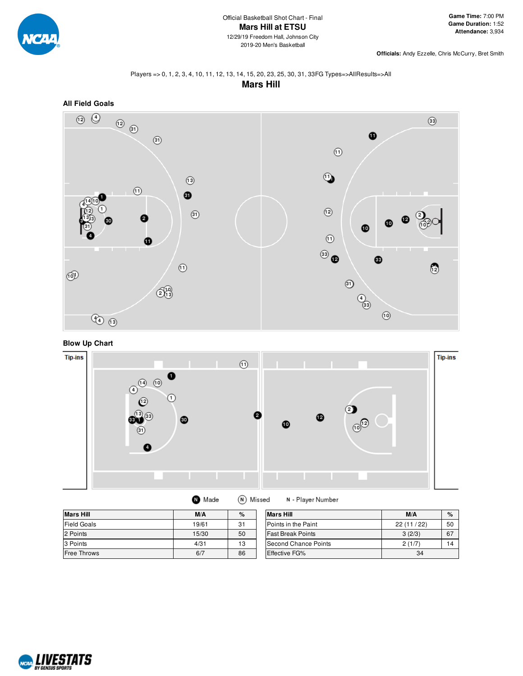

**Officials:** Andy Ezzelle, Chris McCurry, Bret Smith

#### Players => 0, 1, 2, 3, 4, 10, 11, 12, 13, 14, 15, 20, 23, 25, 30, 31, 33FG Types=>AllResults=>All **Mars Hill**



# **Blow Up Chart**



| <b>Mars Hill</b>   | M/A   | $\%$ | <b>Mars Hill</b>         | M/A       | $\%$ |
|--------------------|-------|------|--------------------------|-----------|------|
| <b>Field Goals</b> | 19/61 | 31   | Points in the Paint      | 22(11/22) | 50   |
| 2 Points           | 15/30 | 50   | <b>Fast Break Points</b> | 3(2/3)    | 67   |
| 3 Points           | 4/31  | 13   | Second Chance Points     | 2(1/7)    | 14   |
| <b>Free Throws</b> | 6/7   | 86   | Effective FG%            | 34        |      |

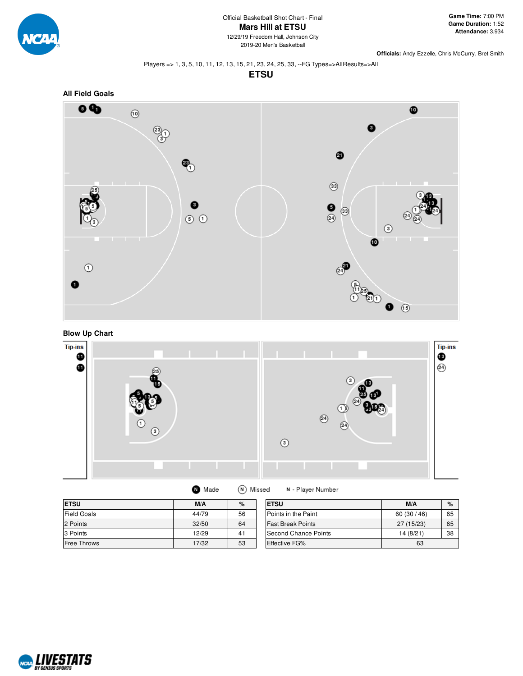

**Officials:** Andy Ezzelle, Chris McCurry, Bret Smith

#### Players => 1, 3, 5, 10, 11, 12, 13, 15, 21, 23, 24, 25, 33, --FG Types=>AllResults=>All

**ETSU**



#### **Blow Up Chart**



| Made | (N) Missed |
|------|------------|
|      |            |

N - Player Number

| <b>ETSU</b>        | M/A   | $\%$ | <b>ETSU</b>              | M/A        | $\%$ |
|--------------------|-------|------|--------------------------|------------|------|
| <b>Field Goals</b> | 44/79 | 56   | Points in the Paint      | 60(30/46)  | 65   |
| 2 Points           | 32/50 | 64   | <b>Fast Break Points</b> | 27 (15/23) | 65   |
| 3 Points           | 12/29 | 41   | Second Chance Points     | 14 (8/21)  | 38   |
| <b>Free Throws</b> | 17/32 | 53   | <b>Effective FG%</b>     | 63         |      |

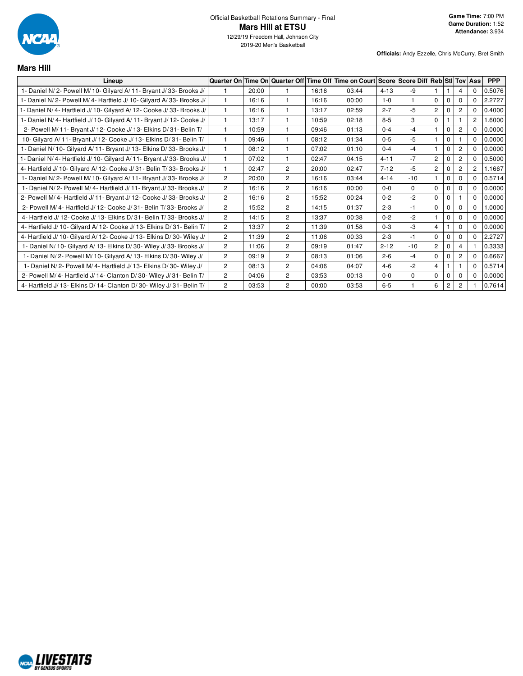

**Mars Hill**

2019-20 Men's Basketball

| Lineup                                                                 |                |       | Quarter On Time On Quarter Off |       | Time Off Time on Court Score Score Diff Reb StI Tov Ass |          |          |                |                |                |                | <b>PPP</b> |
|------------------------------------------------------------------------|----------------|-------|--------------------------------|-------|---------------------------------------------------------|----------|----------|----------------|----------------|----------------|----------------|------------|
| 1- Daniel N/2- Powell M/10- Gilyard A/11- Bryant J/33- Brooks J/       |                | 20:00 |                                | 16:16 | 03:44                                                   | $4 - 13$ | -9       |                |                | 4              | 0              | 0.5076     |
| 1- Daniel N/2- Powell M/4- Hartfield J/10- Gilyard A/33- Brooks J/     |                | 16:16 |                                | 16:16 | 00:00                                                   | $1 - 0$  | 1        | 0              | $\Omega$       | $\Omega$       | $\Omega$       | 2.2727     |
| 1- Daniel N/ 4- Hartfield J/ 10- Gilyard A/ 12- Cooke J/ 33- Brooks J/ |                | 16:16 |                                | 13:17 | 02:59                                                   | $2 - 7$  | $-5$     | $\overline{c}$ | 0              | $\overline{2}$ | $\Omega$       | 0.4000     |
| 1- Daniel N/4- Hartfield J/10- Gilyard A/11- Bryant J/12- Cooke J/     |                | 13:17 |                                | 10:59 | 02:18                                                   | $8 - 5$  | 3        | 0              |                |                | $\overline{2}$ | 1.6000     |
| 2- Powell M/ 11- Bryant J/ 12- Cooke J/ 13- Elkins D/ 31- Belin T/     |                | 10:59 |                                | 09:46 | 01:13                                                   | $0 - 4$  | $-4$     |                | $\Omega$       | $\overline{2}$ | 0              | 0.0000     |
| 10- Gilyard A/11- Bryant J/12- Cooke J/13- Elkins D/31- Belin T/       |                | 09:46 |                                | 08:12 | 01:34                                                   | $0 - 5$  | $-5$     |                | 0              |                | $\Omega$       | 0.0000     |
| 1- Daniel N/ 10- Gilyard A/ 11- Bryant J/ 13- Elkins D/ 33- Brooks J/  |                | 08:12 |                                | 07:02 | 01:10                                                   | $0 - 4$  | $-4$     |                | $\Omega$       | $\overline{2}$ | 0              | 0.0000     |
| 1- Daniel N/4- Hartfield J/10- Gilyard A/11- Bryant J/33- Brooks J/    |                | 07:02 |                                | 02:47 | 04:15                                                   | $4 - 11$ | $-7$     | 2              | 0              | $\overline{c}$ | 0              | 0.5000     |
| 4- Hartfield J/ 10- Gilyard A/ 12- Cooke J/ 31- Belin T/ 33- Brooks J/ |                | 02:47 | $\overline{2}$                 | 20:00 | 02:47                                                   | $7 - 12$ | $-5$     | $\overline{c}$ | 0              | $\overline{c}$ | $\overline{2}$ | 1.1667     |
| 1- Daniel N/2- Powell M/10- Gilyard A/11- Bryant J/33- Brooks J/       | $\overline{2}$ | 20:00 | $\overline{c}$                 | 16:16 | 03:44                                                   | $4 - 14$ | $-10$    |                | $\Omega$       | $\Omega$       | 0              | 0.5714     |
| 1- Daniel N/2- Powell M/4- Hartfield J/11- Bryant J/33- Brooks J/      | $\overline{2}$ | 16:16 | $\overline{2}$                 | 16:16 | 00:00                                                   | $0 - 0$  | $\Omega$ | 0              | 0              | $\Omega$       | 0              | 0.0000     |
| 2- Powell M/4- Hartfield J/11- Bryant J/12- Cooke J/33- Brooks J/      | $\overline{2}$ | 16:16 | $\overline{c}$                 | 15:52 | 00:24                                                   | $0 - 2$  | $-2$     | $\Omega$       | $\Omega$       |                | $\Omega$       | 0.0000     |
| 2- Powell M/4- Hartfield J/12- Cooke J/31- Belin T/33- Brooks J/       | $\overline{2}$ | 15:52 | $\overline{c}$                 | 14:15 | 01:37                                                   | $2 - 3$  | $-1$     | 0              | 0              | $\Omega$       | 0              | 1.0000     |
| 4- Hartfield J/ 12- Cooke J/ 13- Elkins D/ 31- Belin T/ 33- Brooks J/  | $\overline{2}$ | 14:15 | $\overline{c}$                 | 13:37 | 00:38                                                   | $0 - 2$  | $-2$     |                | 0              | $\Omega$       | 0              | 0.0000     |
| 4- Hartfield J/ 10- Gilyard A/ 12- Cooke J/ 13- Elkins D/ 31- Belin T/ | $\overline{2}$ | 13:37 | $\overline{2}$                 | 11:39 | 01:58                                                   | $0 - 3$  | $-3$     | 4              |                | $\Omega$       | $\Omega$       | 0.0000     |
| 4- Hartfield J/ 10- Gilvard A/ 12- Cooke J/ 13- Elkins D/ 30- Wiley J/ | $\overline{2}$ | 11:39 | $\overline{c}$                 | 11:06 | 00:33                                                   | $2 - 3$  | $-1$     | 0              | 0              | $\Omega$       | 0              | 2.2727     |
| 1- Daniel N/ 10- Gilyard A/ 13- Elkins D/ 30- Wiley J/ 33- Brooks J/   | $\overline{2}$ | 11:06 | $\overline{c}$                 | 09:19 | 01:47                                                   | $2 - 12$ | $-10$    | $\overline{c}$ | 0              | 4              |                | 0.3333     |
| 1- Daniel N/2- Powell M/10- Gilyard A/13- Elkins D/30- Wiley J/        | $\overline{2}$ | 09:19 | $\overline{c}$                 | 08:13 | 01:06                                                   | $2 - 6$  | $-4$     | 0              | 0              | $\overline{2}$ | $\Omega$       | 0.6667     |
| 1- Daniel N/2- Powell M/4- Hartfield J/13- Elkins D/30- Wiley J/       | $\overline{2}$ | 08:13 | $\overline{c}$                 | 04:06 | 04:07                                                   | $4 - 6$  | $-2$     | 4              |                |                | 0              | 0.5714     |
| 2- Powell M/4- Hartfield J/14- Clanton D/30- Wiley J/31- Belin T/      | $\overline{2}$ | 04:06 | $\overline{c}$                 | 03:53 | 00:13                                                   | $0 - 0$  | $\Omega$ | 0              | $\Omega$       | $\Omega$       | $\Omega$       | 0.0000     |
| 4- Hartfield J/ 13- Elkins D/ 14- Clanton D/ 30- Wiley J/ 31- Belin T/ | $\overline{2}$ | 03:53 | $\overline{2}$                 | 00:00 | 03:53                                                   | $6-5$    |          | 6              | $\overline{c}$ | $\overline{2}$ |                | 0.7614     |

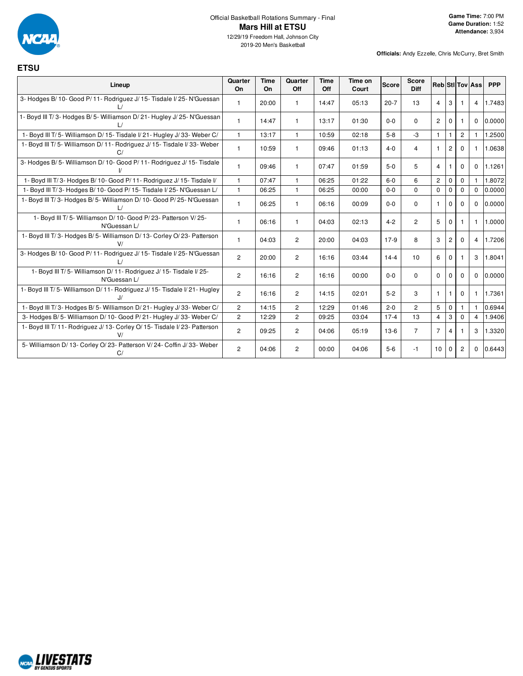

#### Official Basketball Rotations Summary - Final **Mars Hill at ETSU** 12/29/19 Freedom Hall, Johnson City

2019-20 Men's Basketball

| <b>ETSU</b>                                                                           |                |                   |                |                    |                  |              |                             |                |                |                       |                        |            |
|---------------------------------------------------------------------------------------|----------------|-------------------|----------------|--------------------|------------------|--------------|-----------------------------|----------------|----------------|-----------------------|------------------------|------------|
| Lineup                                                                                | Quarter<br>On  | <b>Time</b><br>On | Quarter<br>Off | <b>Time</b><br>Off | Time on<br>Court | <b>Score</b> | <b>Score</b><br><b>Diff</b> |                |                |                       | <b>Reb</b> StilTov Ass | <b>PPP</b> |
| 3- Hodges B/ 10- Good P/ 11- Rodriguez J/ 15- Tisdale I/ 25- N'Guessan                | $\mathbf{1}$   | 20:00             | $\mathbf{1}$   | 14:47              | 05:13            | $20 - 7$     | 13                          | 4              | 3              |                       | $\overline{4}$         | 1.7483     |
| 1- Boyd III T/3- Hodges B/5- Williamson D/21- Hugley J/25- N'Guessan<br>$\frac{1}{2}$ | $\mathbf{1}$   | 14:47             | $\mathbf{1}$   | 13:17              | 01:30            | $0 - 0$      | $\Omega$                    | $\overline{2}$ | $\Omega$       | $\mathbf{1}$          | $\Omega$               | 0.0000     |
| 1- Boyd III T/5- Williamson D/15- Tisdale I/21- Hugley J/33- Weber C/                 | $\mathbf{1}$   | 13:17             | $\overline{1}$ | 10:59              | 02:18            | $5 - 8$      | $-3$                        | $\mathbf{1}$   | 1              | $\mathbf{2}^{\prime}$ | 1                      | 1.2500     |
| 1- Boyd III T/5- Williamson D/11- Rodriguez J/15- Tisdale I/33- Weber                 | $\mathbf{1}$   | 10:59             | $\mathbf{1}$   | 09:46              | 01:13            | $4 - 0$      | $\overline{4}$              | $\mathbf{1}$   | $\overline{2}$ | $\Omega$              | $\mathbf{1}$           | 1.0638     |
| 3- Hodges B/5- Williamson D/10- Good P/11- Rodriguez J/15- Tisdale                    | $\mathbf{1}$   | 09:46             | $\mathbf{1}$   | 07:47              | 01:59            | $5-0$        | 5                           | $\overline{4}$ |                | 0                     | $\mathbf{0}$           | 1.1261     |
| 1- Boyd III T/3- Hodges B/10- Good P/11- Rodriguez J/15- Tisdale I/                   | $\mathbf{1}$   | 07:47             | $\mathbf{1}$   | 06:25              | 01:22            | $6 - 0$      | 6                           | $\overline{2}$ | 0              | 0                     |                        | 1.8072     |
| 1- Boyd III T/3- Hodges B/10- Good P/15- Tisdale I/25- N'Guessan L/                   | $\mathbf{1}$   | 06:25             | $\mathbf{1}$   | 06:25              | 00:00            | $0 - 0$      | $\Omega$                    | $\Omega$       | 0              | $\Omega$              | $\Omega$               | 0.0000     |
| 1- Boyd III T/3- Hodges B/5- Williamson D/10- Good P/25- N'Guessan                    | $\mathbf{1}$   | 06:25             | $\mathbf{1}$   | 06:16              | 00:09            | $0 - 0$      | 0                           | $\mathbf{1}$   | 0              | $\Omega$              | $\mathbf{0}$           | 0.0000     |
| 1- Boyd III T/5- Williamson D/10- Good P/23- Patterson V/25-<br>N'Guessan L/          | $\mathbf{1}$   | 06:16             | $\mathbf{1}$   | 04:03              | 02:13            | $4 - 2$      | $\overline{2}$              | 5              | 0              |                       | 1                      | 1.0000     |
| 1- Boyd III T/3- Hodges B/5- Williamson D/13- Corley O/23- Patterson<br>V/            | $\mathbf{1}$   | 04:03             | $\overline{2}$ | 20:00              | 04:03            | $17-9$       | 8                           | 3              | $\overline{2}$ | $\Omega$              | $\overline{4}$         | 1.7206     |
| 3- Hodges B/ 10- Good P/ 11- Rodriguez J/ 15- Tisdale I/ 25- N'Guessan<br>$\perp$     | $\overline{2}$ | 20:00             | $\overline{c}$ | 16:16              | 03:44            | $14 - 4$     | 10                          | 6              | 0              |                       | 3                      | 1.8041     |
| 1- Boyd III T/5- Williamson D/11- Rodriguez J/15- Tisdale I/25-<br>N'Guessan L/       | $\overline{2}$ | 16:16             | $\overline{2}$ | 16:16              | 00:00            | $0 - 0$      | 0                           | $\mathbf 0$    | $\mathbf{0}$   | 0                     |                        | 0.0000     |
| 1- Boyd III T/5- Williamson D/11- Rodriguez J/15- Tisdale I/21- Hugley<br>.1/         | 2              | 16:16             | $\overline{c}$ | 14:15              | 02:01            | $5 - 2$      | 3                           | $\mathbf{1}$   |                | $\Omega$              |                        | 1.7361     |
| 1- Boyd III T/3- Hodges B/5- Williamson D/21- Hugley J/33- Weber C/                   | $\overline{2}$ | 14:15             | $\overline{2}$ | 12:29              | 01:46            | $2 - 0$      | $\overline{2}$              | 5              | $\mathbf 0$    | $\mathbf{1}$          | $\mathbf{1}$           | 0.6944     |
| 3- Hodges B/5- Williamson D/10- Good P/21- Hugley J/33- Weber C/                      | $\overline{2}$ | 12:29             | $\overline{2}$ | 09:25              | 03:04            | $17-4$       | 13                          | $\overline{4}$ | 3              | 0                     | $\overline{4}$         | 1.9406     |
| 1- Boyd III T/ 11- Rodriguez J/ 13- Corley O/ 15- Tisdale I/ 23- Patterson            | $\overline{2}$ | 09:25             | $\overline{2}$ | 04:06              | 05:19            | $13-6$       | $\overline{7}$              | $\overline{7}$ | 4              |                       | 3                      | 1.3320     |
| 5- Williamson D/13- Corley O/23- Patterson V/24- Coffin J/33- Weber<br>C/             | $\overline{2}$ | 04:06             | $\overline{c}$ | 00:00              | 04:06            | $5-6$        | $-1$                        | 10             | $\mathbf{0}$   | $\overline{c}$        | 0                      | 0.6443     |

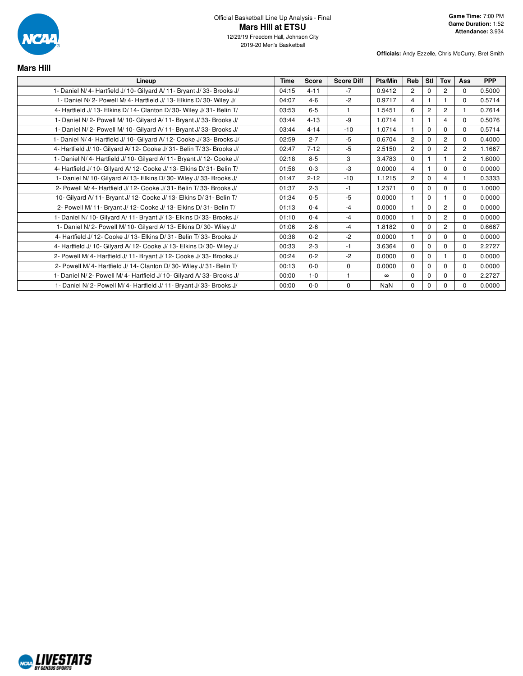

| <b>Mars Hill</b>                                                       |             |              |                   |            |                |                |                |                |            |
|------------------------------------------------------------------------|-------------|--------------|-------------------|------------|----------------|----------------|----------------|----------------|------------|
| Lineup                                                                 | <b>Time</b> | <b>Score</b> | <b>Score Diff</b> | Pts/Min    | Reb            | <b>Stl</b>     | Tov            | Ass            | <b>PPP</b> |
| 1- Daniel N/4- Hartfield J/10- Gilyard A/11- Bryant J/33- Brooks J/    | 04:15       | $4 - 11$     | $-7$              | 0.9412     | $\overline{c}$ | $\Omega$       | 2              | $\mathbf 0$    | 0.5000     |
| 1- Daniel N/2- Powell M/4- Hartfield J/13- Elkins D/30- Wiley J/       | 04:07       | $4 - 6$      | $-2$              | 0.9717     | $\overline{4}$ |                |                | $\Omega$       | 0.5714     |
| 4- Hartfield J/ 13- Elkins D/ 14- Clanton D/ 30- Wiley J/ 31- Belin T/ | 03:53       | $6 - 5$      |                   | 1.5451     | 6              | $\overline{2}$ | $\overline{2}$ | 1              | 0.7614     |
| 1- Daniel N/2- Powell M/10- Gilyard A/11- Bryant J/33- Brooks J/       | 03:44       | $4 - 13$     | $-9$              | 1.0714     | $\mathbf{1}$   |                | $\overline{4}$ | $\Omega$       | 0.5076     |
| 1- Daniel N/2- Powell M/10- Gilyard A/11- Bryant J/33- Brooks J/       | 03:44       | $4 - 14$     | $-10$             | 1.0714     |                | $\Omega$       | $\Omega$       | $\Omega$       | 0.5714     |
| 1- Daniel N/4- Hartfield J/10- Gilyard A/12- Cooke J/33- Brooks J/     | 02:59       | $2 - 7$      | $-5$              | 0.6704     | $\overline{2}$ | $\Omega$       | $\overline{c}$ | $\mathbf 0$    | 0.4000     |
| 4- Hartfield J/ 10- Gilyard A/ 12- Cooke J/ 31- Belin T/ 33- Brooks J/ | 02:47       | $7 - 12$     | $-5$              | 2.5150     | $\overline{2}$ | $\Omega$       | $\overline{2}$ | $\overline{c}$ | 1.1667     |
| 1- Daniel N/4- Hartfield J/10- Gilyard A/11- Bryant J/12- Cooke J/     | 02:18       | $8 - 5$      | 3                 | 3.4783     | $\Omega$       |                |                | $\overline{2}$ | 1.6000     |
| 4- Hartfield J/ 10- Gilyard A/ 12- Cooke J/ 13- Elkins D/ 31- Belin T/ | 01:58       | $0 - 3$      | -3                | 0.0000     | 4              |                | $\Omega$       | $\Omega$       | 0.0000     |
| 1- Daniel N/ 10- Gilyard A/ 13- Elkins D/ 30- Wiley J/ 33- Brooks J/   | 01:47       | $2 - 12$     | $-10$             | 1.1215     | $\overline{c}$ | $\Omega$       | $\overline{4}$ | 1              | 0.3333     |
| 2- Powell M/ 4- Hartfield J/ 12- Cooke J/ 31- Belin T/ 33- Brooks J/   | 01:37       | $2 - 3$      | $-1$              | 1.2371     | $\Omega$       | $\Omega$       | $\Omega$       | $\Omega$       | 1.0000     |
| 10- Gilyard A/11- Bryant J/12- Cooke J/13- Elkins D/31- Belin T/       | 01:34       | $0 - 5$      | $-5$              | 0.0000     | $\mathbf 1$    | $\Omega$       |                | $\Omega$       | 0.0000     |
| 2- Powell M/ 11- Bryant J/ 12- Cooke J/ 13- Elkins D/ 31- Belin T/     | 01:13       | $0 - 4$      | $-4$              | 0.0000     | $\mathbf{1}$   | $\Omega$       | $\overline{2}$ | $\Omega$       | 0.0000     |
| 1- Daniel N/ 10- Gilyard A/ 11- Bryant J/ 13- Elkins D/ 33- Brooks J/  | 01:10       | $0 - 4$      | $-4$              | 0.0000     |                | $\Omega$       | 2              | $\Omega$       | 0.0000     |
| 1- Daniel N/2- Powell M/10- Gilyard A/13- Elkins D/30- Wiley J/        | 01:06       | $2 - 6$      | $-4$              | 1.8182     | $\Omega$       | $\Omega$       | $\overline{c}$ | $\mathbf 0$    | 0.6667     |
| 4- Hartfield J/ 12- Cooke J/ 13- Elkins D/ 31- Belin T/ 33- Brooks J/  | 00:38       | $0 - 2$      | $-2$              | 0.0000     |                | $\Omega$       | $\mathbf 0$    | $\Omega$       | 0.0000     |
| 4- Hartfield J/ 10- Gilyard A/ 12- Cooke J/ 13- Elkins D/ 30- Wiley J/ | 00:33       | $2 - 3$      | $-1$              | 3.6364     | $\Omega$       | $\Omega$       | $\mathbf 0$    | $\Omega$       | 2.2727     |
| 2- Powell M/4- Hartfield J/11- Bryant J/12- Cooke J/33- Brooks J/      | 00:24       | $0 - 2$      | $-2$              | 0.0000     | $\mathbf 0$    | $\mathbf 0$    |                | $\mathbf 0$    | 0.0000     |
| 2- Powell M/4- Hartfield J/14- Clanton D/30- Wiley J/31- Belin T/      | 00:13       | $0 - 0$      | $\Omega$          | 0.0000     | $\Omega$       | $\Omega$       | $\Omega$       | $\mathbf 0$    | 0.0000     |
| 1- Daniel N/2- Powell M/4- Hartfield J/10- Gilyard A/33- Brooks J/     | 00:00       | $1 - 0$      | $\mathbf{1}$      | $\infty$   | $\mathbf 0$    | $\Omega$       | $\mathbf 0$    | $\mathbf 0$    | 2.2727     |
| 1- Daniel N/2- Powell M/4- Hartfield J/11- Bryant J/33- Brooks J/      | 00:00       | $0 - 0$      | $\mathbf 0$       | <b>NaN</b> | $\mathbf 0$    | 0              | 0              | 0              | 0.0000     |